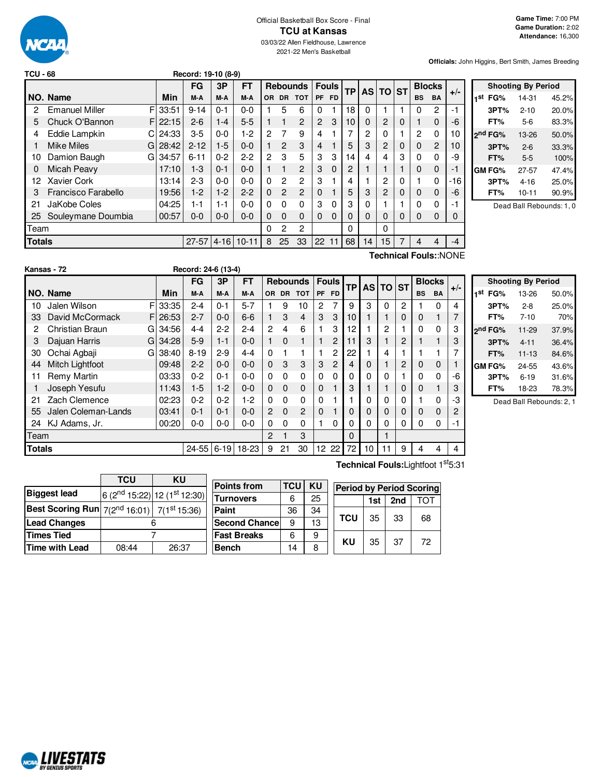

#### Official Basketball Box Score - Final **TCU at Kansas** 03/03/22 Allen Fieldhouse, Lawrence

2021-22 Men's Basketball

**Officials:** John Higgins, Bert Smith, James Breeding

| TCU - 68 |                       |    |       | Record: 19-10 (8-9) |          |           |                |              |                 |                |           |           |    |          |   |               |                |                       |
|----------|-----------------------|----|-------|---------------------|----------|-----------|----------------|--------------|-----------------|----------------|-----------|-----------|----|----------|---|---------------|----------------|-----------------------|
|          |                       |    |       | <b>FG</b>           | 3P       | <b>FT</b> |                |              | <b>Rebounds</b> | <b>Fouls</b>   |           | <b>TP</b> |    | AS TO ST |   | <b>Blocks</b> |                |                       |
|          | NO. Name              |    | Min   | M-A                 | M-A      | M-A       | OR.            | <b>DR</b>    | <b>TOT</b>      | PF             | <b>FD</b> |           |    |          |   | <b>BS</b>     | <b>BA</b>      | $+/-$                 |
| 2        | <b>Emanuel Miller</b> | FI | 33:51 | $9 - 14$            | $0 - 1$  | $0 - 0$   |                | 5            | 6               | $\Omega$       |           | 18        | 0  |          |   | $\Omega$      | $\overline{c}$ | -1                    |
| 5        | Chuck O'Bannon        | F. | 22:15 | $2 - 6$             | 1-4      | $5 - 5$   |                | 1            | 2               | $\overline{2}$ | 3         | 10        | 0  | 2        | 0 |               | $\Omega$       | -6                    |
| 4        | Eddie Lampkin         | СI | 24:33 | $3-5$               | $0 - 0$  | 1-2       | 2              | 7            | 9               | 4              |           |           | 2  | 0        |   | 2             | $\Omega$       | 10                    |
|          | <b>Mike Miles</b>     | GI | 28:42 | $2 - 12$            | $1-5$    | $0 - 0$   |                | 2            | 3               | 4              |           | 5         | 3  | 2        | 0 | 0             | 2              | 10                    |
| 10       | Damion Baugh          | GI | 34:57 | $6 - 11$            | $0 - 2$  | $2 - 2$   | $\overline{2}$ | 3            | 5               | 3              | 3         | 14        | 4  | 4        | 3 | $\Omega$      | $\Omega$       | -9                    |
| 0        | Micah Peavy           |    | 17:10 | $1-3$               | $0 - 1$  | $0 - 0$   |                | 1            | $\overline{2}$  | 3              | 0         | 2         |    |          |   | $\mathbf 0$   | $\Omega$       | -1                    |
| 12       | Xavier Cork           |    | 13:14 | $2 - 3$             | $0 - 0$  | $0 - 0$   | 0              | $\mathbf{2}$ | $\overline{2}$  | 3              |           | 4         |    | 2        | 0 |               | $\Omega$       | -16                   |
| 3        | Francisco Farabello   |    | 19:56 | $1-2$               | $1-2$    | $2 - 2$   | $\Omega$       | 2            | $\overline{2}$  | 0              |           | 5         | 3  | 2        | 0 | $\mathbf{0}$  | $\Omega$       | -6                    |
| 21       | JaKobe Coles          |    | 04:25 | 1-1                 | $1 - 1$  | $0 - 0$   | 0              | 0            | 0               | 3              | $\Omega$  | 3         | 0  |          |   | $\Omega$      | $\Omega$       | -1                    |
| 25       | Souleymane Doumbia    |    | 00:57 | $0-0$               | $0-0$    | $0 - 0$   | 0              | 0            | $\Omega$        | $\Omega$       | 0         | 0         | 0  | 0        | 0 | $\Omega$      | $\Omega$       | 0                     |
| Team     |                       |    |       |                     |          |           | 0              | 2            | 2               |                |           | 0         |    | 0        |   |               |                |                       |
| Totals   |                       |    |       | $27 - 57$           | $4 - 16$ | $10 - 11$ | 8              | 25           | 33              | 22             | 11        | 68        | 14 | 15       |   | 4             | 4              | $-4$                  |
|          |                       |    |       |                     |          |           |                |              |                 |                |           |           |    |          |   |               |                | Technical Fouls::NONE |

|     |                     | <b>Shooting By Period</b> |       |
|-----|---------------------|---------------------------|-------|
| 1st | FG%                 | 14-31                     | 45.2% |
|     | 3PT%                | $2 - 10$                  | 20.0% |
|     | FT%                 | 5-6                       | 83.3% |
|     | 2 <sup>nd</sup> FG% | 13-26                     | 50.0% |
|     | 3PT%                | $2 - 6$                   | 33.3% |
|     | FT%                 | $5 - 5$                   | 100%  |
|     | GM FG%              | 27-57                     | 47.4% |
|     | 3PT%                | $4 - 16$                  | 25.0% |
|     | FT%                 | $10 - 11$                 | 90.9% |

Dead Ball Rebounds: 1, 0

|               | Kansas - 72            |    |            | Record: 24-6 (13-4) |          |           |                |           |                 |             |                |      |              |          |                |           |               |       |
|---------------|------------------------|----|------------|---------------------|----------|-----------|----------------|-----------|-----------------|-------------|----------------|------|--------------|----------|----------------|-----------|---------------|-------|
|               |                        |    |            | <b>FG</b>           | 3P       | <b>FT</b> |                |           | <b>Rebounds</b> |             | <b>Fouls</b>   | TP I | <b>AS TO</b> |          | <b>ST</b>      |           | <b>Blocks</b> |       |
|               | NO. Name               |    | <b>Min</b> | M-A                 | M-A      | M-A       | OR.            | <b>DR</b> | <b>TOT</b>      | <b>PF</b>   | <b>FD</b>      |      |              |          |                | <b>BS</b> | <b>BA</b>     | $+/-$ |
| 10            | Jalen Wilson           | F  | 33:35      | $2 - 4$             | $0 - 1$  | $5 - 7$   |                | 9         | 10              | 2           |                | 9    | 3            | 0        | $\overline{2}$ |           | $\Omega$      | 4     |
| 33            | David McCormack        | F  | 26:53      | $2 - 7$             | $0 - 0$  | $6-6$     |                | 3         | 4               | 3           | 3              | 10   |              |          | 0              | 0         |               |       |
| 2             | <b>Christian Braun</b> | G  | 34:56      | $4 - 4$             | $2-2$    | $2 - 4$   | $\overline{c}$ | 4         | 6               |             | 3              | 12   |              | 2        |                | O         | $\Omega$      | 3     |
| 3             | Dajuan Harris          | GI | 34:28      | $5-9$               | $1 - 1$  | $0 - 0$   |                | $\Omega$  |                 | 1           | 2              | 11   | 3            |          | 2              |           |               | 3     |
| 30            | Ochai Agbaji           | G  | 38:40      | $8 - 19$            | $2-9$    | $4 - 4$   | 0              |           |                 |             | 2              | 22   |              | 4        |                |           |               |       |
| 44            | <b>Mitch Lightfoot</b> |    | 09:48      | $2 - 2$             | $0 - 0$  | $0 - 0$   | $\Omega$       | 3         | 3               | 3           | $\overline{2}$ | 4    | $\mathbf 0$  |          | 2              | $\Omega$  | $\mathbf 0$   |       |
|               | Remy Martin            |    | 03:33      | $0 - 2$             | $0 - 1$  | $0 - 0$   | 0              | 0         | $\Omega$        | $\mathbf 0$ | 0              | 0    | 0            | 0        |                | 0         | 0             | -6    |
|               | Joseph Yesufu          |    | 11:43      | $1-5$               | $1 - 2$  | $0 - 0$   | $\Omega$       | $\Omega$  | $\Omega$        | $\mathbf 0$ |                | 3    |              |          | $\Omega$       | 0         |               | 3     |
| 21            | Zach Clemence          |    | 02:23      | $0 - 2$             | $0 - 2$  | $1-2$     | 0              | $\Omega$  | 0               | $\Omega$    |                |      | $\mathbf{0}$ | 0        | 0              |           | $\Omega$      | -3    |
| 55            | Jalen Coleman-Lands    |    | 03:41      | $0 - 1$             | $0 - 1$  | $0 - 0$   | $\overline{2}$ | $\Omega$  | $\overline{2}$  | $\Omega$    |                | 0    | $\Omega$     | $\Omega$ | $\Omega$       | 0         | $\Omega$      | 2     |
| 24            | KJ Adams, Jr.          |    | 00:20      | $0 - 0$             | $0 - 0$  | $0 - 0$   | 0              | 0         | $\Omega$        |             | 0              | 0    | $\Omega$     | 0        | 0              | 0         | $\Omega$      | -1    |
| Team          |                        |    |            |                     |          |           | $\overline{2}$ |           | 3               |             |                | 0    |              |          |                |           |               |       |
| <b>Totals</b> |                        |    |            | $24 - 55$           | $6 - 19$ | 18-23     | 9              | 21        | 30              | 12          | 22             | 72   | 10           |          | 9              | 4         | 4             | 4     |

|     | <b>Shooting By Period</b> |           |       |  |  |  |  |  |  |
|-----|---------------------------|-----------|-------|--|--|--|--|--|--|
| 1st | FG%                       | 13-26     | 50.0% |  |  |  |  |  |  |
|     | 3PT%                      | $2 - 8$   | 25.0% |  |  |  |  |  |  |
|     | FT%                       | $7 - 10$  | 70%   |  |  |  |  |  |  |
|     | 2 <sup>nd</sup> FG%       | 11-29     | 37.9% |  |  |  |  |  |  |
|     | 3PT%                      | $4 - 11$  | 36.4% |  |  |  |  |  |  |
|     | FT%                       | $11 - 13$ | 84.6% |  |  |  |  |  |  |
|     | GM FG%                    | 24-55     | 43.6% |  |  |  |  |  |  |
|     | 3PT%                      | $6 - 19$  | 31.6% |  |  |  |  |  |  |
|     | FT%                       | 18-23     | 78.3% |  |  |  |  |  |  |

Dead Ball Rebounds: 2, 1

| TCU   | ΚU    |                                                                                                 |  |  |
|-------|-------|-------------------------------------------------------------------------------------------------|--|--|
|       |       |                                                                                                 |  |  |
|       |       |                                                                                                 |  |  |
|       |       |                                                                                                 |  |  |
|       |       |                                                                                                 |  |  |
| 08:44 | 26:37 |                                                                                                 |  |  |
|       |       | $6(2^{nd} 15:22)$ 12 $(1^{st} 12:30)$<br><b>Best Scoring Run</b> $7(2^{nd} 16:01)$ 7(1st 15:36) |  |  |

| <b>Points from</b>   | TCU | KU |
|----------------------|-----|----|
| <b>Turnovers</b>     | 6   | 25 |
| Paint                | 36  | 34 |
| <b>Second Chance</b> | 9   | 13 |
| <b>Fast Breaks</b>   | 6   | g  |
| <b>Bench</b>         | 14  | 8  |

**Technical Fouls:**Lightfoot 1 st5:31

|            | <b>Period by Period Scoring</b> |                 |     |  |  |  |  |  |  |
|------------|---------------------------------|-----------------|-----|--|--|--|--|--|--|
|            | 1st                             | 2 <sub>nd</sub> | TOT |  |  |  |  |  |  |
| <b>TCU</b> | 35                              | 33              | 68  |  |  |  |  |  |  |
| ΚU         | 35                              | 37              | 72  |  |  |  |  |  |  |

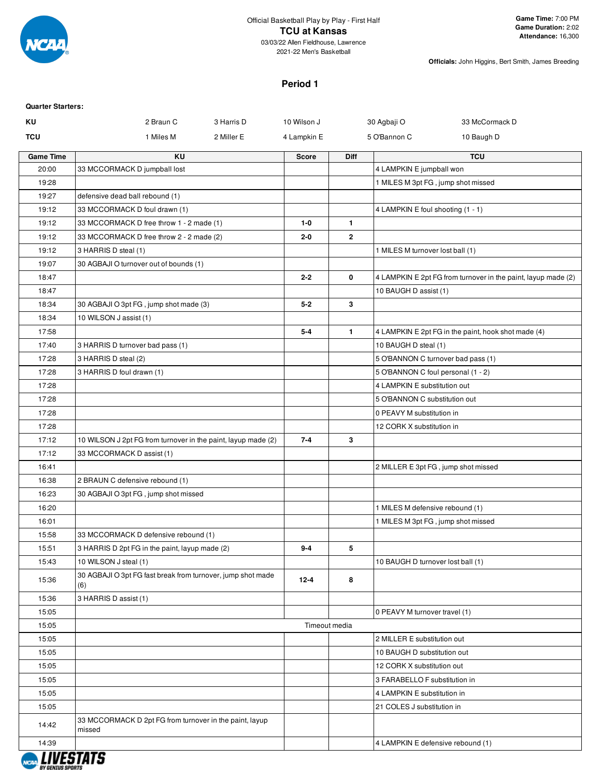

2021-22 Men's Basketball

**Officials:** John Higgins, Bert Smith, James Breeding

### **Period 1**

| <b>Quarter Starters:</b> |                                                                    |            |               |              |                                   |                                                               |
|--------------------------|--------------------------------------------------------------------|------------|---------------|--------------|-----------------------------------|---------------------------------------------------------------|
| KU                       | 2 Braun C                                                          | 3 Harris D | 10 Wilson J   |              | 30 Agbaji O                       | 33 McCormack D                                                |
| <b>TCU</b>               | 1 Miles M                                                          | 2 Miller E | 4 Lampkin E   |              | 5 O'Bannon C                      | 10 Baugh D                                                    |
| <b>Game Time</b>         | <b>KU</b>                                                          |            | <b>Score</b>  | <b>Diff</b>  |                                   | <b>TCU</b>                                                    |
| 20:00                    | 33 MCCORMACK D jumpball lost                                       |            |               |              | 4 LAMPKIN E jumpball won          |                                                               |
| 19:28                    |                                                                    |            |               |              |                                   | 1 MILES M 3pt FG, jump shot missed                            |
| 19:27                    | defensive dead ball rebound (1)                                    |            |               |              |                                   |                                                               |
| 19:12                    | 33 MCCORMACK D foul drawn (1)                                      |            |               |              | 4 LAMPKIN E foul shooting (1 - 1) |                                                               |
| 19:12                    | 33 MCCORMACK D free throw 1 - 2 made (1)                           |            | $1 - 0$       | $\mathbf{1}$ |                                   |                                                               |
| 19:12                    | 33 MCCORMACK D free throw 2 - 2 made (2)                           |            | $2 - 0$       | $\mathbf{2}$ |                                   |                                                               |
| 19:12                    | 3 HARRIS D steal (1)                                               |            |               |              | 1 MILES M turnover lost ball (1)  |                                                               |
| 19:07                    | 30 AGBAJI O turnover out of bounds (1)                             |            |               |              |                                   |                                                               |
| 18:47                    |                                                                    |            | $2 - 2$       | 0            |                                   | 4 LAMPKIN E 2pt FG from turnover in the paint, layup made (2) |
| 18:47                    |                                                                    |            |               |              | 10 BAUGH D assist (1)             |                                                               |
| 18:34                    | 30 AGBAJI O 3pt FG, jump shot made (3)                             |            | $5 - 2$       | 3            |                                   |                                                               |
| 18:34                    | 10 WILSON J assist (1)                                             |            |               |              |                                   |                                                               |
| 17:58                    |                                                                    |            | $5 - 4$       | $\mathbf{1}$ |                                   | 4 LAMPKIN E 2pt FG in the paint, hook shot made (4)           |
| 17:40                    | 3 HARRIS D turnover bad pass (1)                                   |            |               |              | 10 BAUGH D steal (1)              |                                                               |
| 17:28                    | 3 HARRIS D steal (2)                                               |            |               |              |                                   | 5 O'BANNON C turnover bad pass (1)                            |
| 17:28                    | 3 HARRIS D foul drawn (1)                                          |            |               |              |                                   | 5 O'BANNON C foul personal (1 - 2)                            |
| 17:28                    |                                                                    |            |               |              | 4 LAMPKIN E substitution out      |                                                               |
| 17:28                    |                                                                    |            |               |              | 5 O'BANNON C substitution out     |                                                               |
| 17:28                    |                                                                    |            |               |              | 0 PEAVY M substitution in         |                                                               |
| 17:28                    |                                                                    |            |               |              | 12 CORK X substitution in         |                                                               |
| 17:12                    | 10 WILSON J 2pt FG from turnover in the paint, layup made (2)      |            | $7 - 4$       | 3            |                                   |                                                               |
| 17:12                    | 33 MCCORMACK D assist (1)                                          |            |               |              |                                   |                                                               |
| 16:41                    |                                                                    |            |               |              |                                   | 2 MILLER E 3pt FG, jump shot missed                           |
| 16:38                    | 2 BRAUN C defensive rebound (1)                                    |            |               |              |                                   |                                                               |
| 16:23                    | 30 AGBAJI O 3pt FG, jump shot missed                               |            |               |              |                                   |                                                               |
| 16:20                    |                                                                    |            |               |              | 1 MILES M defensive rebound (1)   |                                                               |
| 16:01                    |                                                                    |            |               |              |                                   | 1 MILES M 3pt FG, jump shot missed                            |
| 15:58                    | 33 MCCORMACK D defensive rebound (1)                               |            |               |              |                                   |                                                               |
| 15:51                    | 3 HARRIS D 2pt FG in the paint, layup made (2)                     |            | $9 - 4$       | 5            |                                   |                                                               |
| 15:43                    | 10 WILSON J steal (1)                                              |            |               |              | 10 BAUGH D turnover lost ball (1) |                                                               |
| 15:36                    | 30 AGBAJI O 3pt FG fast break from turnover, jump shot made<br>(6) |            | $12 - 4$      | 8            |                                   |                                                               |
| 15:36                    | 3 HARRIS D assist (1)                                              |            |               |              |                                   |                                                               |
| 15:05                    |                                                                    |            |               |              | 0 PEAVY M turnover travel (1)     |                                                               |
| 15:05                    |                                                                    |            | Timeout media |              |                                   |                                                               |
| 15:05                    |                                                                    |            |               |              | 2 MILLER E substitution out       |                                                               |
| 15:05                    |                                                                    |            |               |              | 10 BAUGH D substitution out       |                                                               |
| 15:05                    |                                                                    |            |               |              | 12 CORK X substitution out        |                                                               |
| 15:05                    |                                                                    |            |               |              | 3 FARABELLO F substitution in     |                                                               |
| 15:05                    |                                                                    |            |               |              | 4 LAMPKIN E substitution in       |                                                               |
| 15:05                    |                                                                    |            |               |              | 21 COLES J substitution in        |                                                               |
| 14:42                    | 33 MCCORMACK D 2pt FG from turnover in the paint, layup<br>missed  |            |               |              |                                   |                                                               |
| 14:39                    |                                                                    |            |               |              |                                   | 4 LAMPKIN E defensive rebound (1)                             |
|                          | , ,,,,,,,,,                                                        |            |               |              |                                   |                                                               |

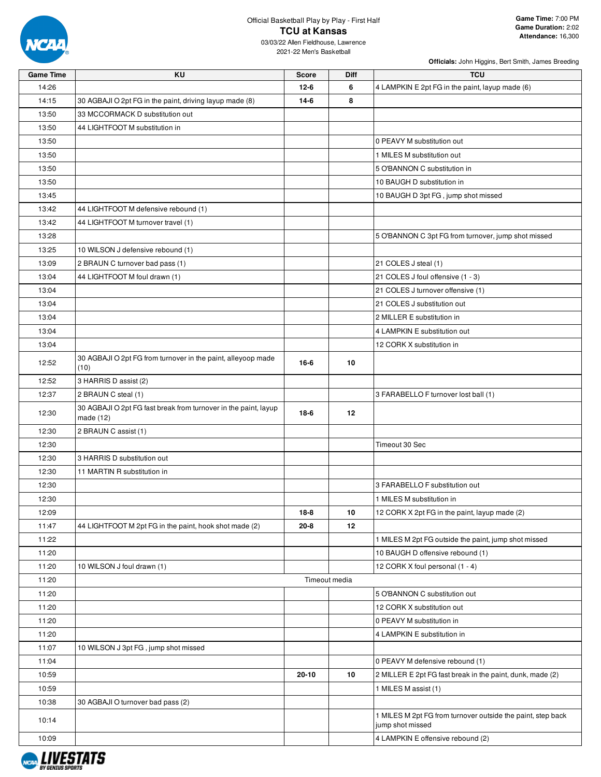

# Official Basketball Play by Play - First Half **TCU at Kansas**

| <b>Game Time</b> | KU                                                                             | <b>Score</b> | <b>Diff</b>   | <b>TCU</b>                                                                      |
|------------------|--------------------------------------------------------------------------------|--------------|---------------|---------------------------------------------------------------------------------|
| 14:26            |                                                                                | $12 - 6$     | 6             | 4 LAMPKIN E 2pt FG in the paint, layup made (6)                                 |
| 14:15            | 30 AGBAJI O 2pt FG in the paint, driving layup made (8)                        | $14-6$       | 8             |                                                                                 |
| 13:50            | 33 MCCORMACK D substitution out                                                |              |               |                                                                                 |
| 13:50            | 44 LIGHTFOOT M substitution in                                                 |              |               |                                                                                 |
| 13:50            |                                                                                |              |               | 0 PEAVY M substitution out                                                      |
| 13:50            |                                                                                |              |               | 1 MILES M substitution out                                                      |
| 13:50            |                                                                                |              |               | 5 O'BANNON C substitution in                                                    |
| 13:50            |                                                                                |              |               | 10 BAUGH D substitution in                                                      |
| 13:45            |                                                                                |              |               | 10 BAUGH D 3pt FG, jump shot missed                                             |
| 13:42            | 44 LIGHTFOOT M defensive rebound (1)                                           |              |               |                                                                                 |
| 13:42            | 44 LIGHTFOOT M turnover travel (1)                                             |              |               |                                                                                 |
| 13:28            |                                                                                |              |               | 5 O'BANNON C 3pt FG from turnover, jump shot missed                             |
| 13:25            | 10 WILSON J defensive rebound (1)                                              |              |               |                                                                                 |
| 13:09            | 2 BRAUN C turnover bad pass (1)                                                |              |               | 21 COLES J steal (1)                                                            |
| 13:04            | 44 LIGHTFOOT M foul drawn (1)                                                  |              |               | 21 COLES J foul offensive (1 - 3)                                               |
| 13:04            |                                                                                |              |               | 21 COLES J turnover offensive (1)                                               |
| 13:04            |                                                                                |              |               | 21 COLES J substitution out                                                     |
| 13:04            |                                                                                |              |               | 2 MILLER E substitution in                                                      |
| 13:04            |                                                                                |              |               | 4 LAMPKIN E substitution out                                                    |
| 13:04            |                                                                                |              |               | 12 CORK X substitution in                                                       |
|                  | 30 AGBAJI O 2pt FG from turnover in the paint, alleyoop made                   |              |               |                                                                                 |
| 12:52            | (10)                                                                           | 16-6         | 10            |                                                                                 |
| 12:52            | 3 HARRIS D assist (2)                                                          |              |               |                                                                                 |
| 12:37            | 2 BRAUN C steal (1)                                                            |              |               | 3 FARABELLO F turnover lost ball (1)                                            |
| 12:30            | 30 AGBAJI O 2pt FG fast break from turnover in the paint, layup<br>made $(12)$ | $18-6$       | $12 \,$       |                                                                                 |
| 12:30            | 2 BRAUN C assist (1)                                                           |              |               |                                                                                 |
| 12:30            |                                                                                |              |               | Timeout 30 Sec                                                                  |
| 12:30            | 3 HARRIS D substitution out                                                    |              |               |                                                                                 |
| 12:30            | 11 MARTIN R substitution in                                                    |              |               |                                                                                 |
| 12:30            |                                                                                |              |               | 3 FARABELLO F substitution out                                                  |
| 12:30            |                                                                                |              |               | 1 MILES M substitution in                                                       |
| 12:09            |                                                                                | $18-8$       | 10            | 12 CORK X 2pt FG in the paint, layup made (2)                                   |
| 11:47            | 44 LIGHTFOOT M 2pt FG in the paint, hook shot made (2)                         | $20 - 8$     | 12            |                                                                                 |
| 11:22            |                                                                                |              |               | 1 MILES M 2pt FG outside the paint, jump shot missed                            |
| 11:20            |                                                                                |              |               | 10 BAUGH D offensive rebound (1)                                                |
| 11:20            | 10 WILSON J foul drawn (1)                                                     |              |               | 12 CORK X foul personal (1 - 4)                                                 |
| 11:20            |                                                                                |              | Timeout media |                                                                                 |
| 11:20            |                                                                                |              |               | 5 O'BANNON C substitution out                                                   |
| 11:20            |                                                                                |              |               | 12 CORK X substitution out                                                      |
| 11:20            |                                                                                |              |               | 0 PEAVY M substitution in                                                       |
| 11:20            |                                                                                |              |               | 4 LAMPKIN E substitution in                                                     |
| 11:07            | 10 WILSON J 3pt FG, jump shot missed                                           |              |               |                                                                                 |
| 11:04            |                                                                                |              |               | 0 PEAVY M defensive rebound (1)                                                 |
| 10:59            |                                                                                | 20-10        | 10            | 2 MILLER E 2pt FG fast break in the paint, dunk, made (2)                       |
| 10:59            |                                                                                |              |               | 1 MILES M assist (1)                                                            |
| 10:38            | 30 AGBAJI O turnover bad pass (2)                                              |              |               |                                                                                 |
| 10:14            |                                                                                |              |               | 1 MILES M 2pt FG from turnover outside the paint, step back<br>jump shot missed |
| 10:09            |                                                                                |              |               | 4 LAMPKIN E offensive rebound (2)                                               |
|                  |                                                                                |              |               |                                                                                 |

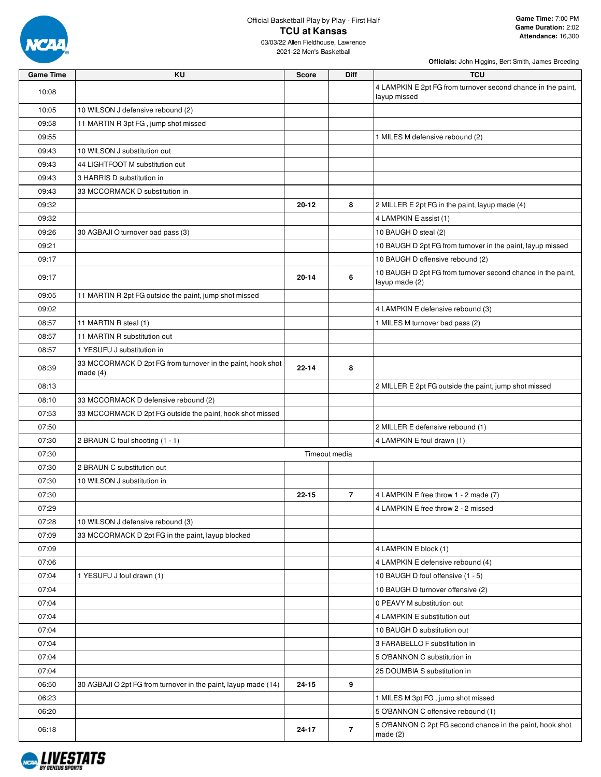

**Game Time:** 7:00 PM **Game Duration:** 2:02 **Attendance:** 16,300

03/03/22 Allen Fieldhouse, Lawrence 2021-22 Men's Basketball

| <b>Game Time</b> | <b>KU</b>                                                                 | <b>Score</b> | <b>Diff</b>    | <b>TCU</b>                                                                    |
|------------------|---------------------------------------------------------------------------|--------------|----------------|-------------------------------------------------------------------------------|
| 10:08            |                                                                           |              |                | 4 LAMPKIN E 2pt FG from turnover second chance in the paint,<br>layup missed  |
| 10:05            | 10 WILSON J defensive rebound (2)                                         |              |                |                                                                               |
| 09:58            | 11 MARTIN R 3pt FG, jump shot missed                                      |              |                |                                                                               |
| 09:55            |                                                                           |              |                | 1 MILES M defensive rebound (2)                                               |
| 09:43            | 10 WILSON J substitution out                                              |              |                |                                                                               |
| 09:43            | 44 LIGHTFOOT M substitution out                                           |              |                |                                                                               |
| 09:43            | 3 HARRIS D substitution in                                                |              |                |                                                                               |
| 09:43            | 33 MCCORMACK D substitution in                                            |              |                |                                                                               |
| 09:32            |                                                                           | $20 - 12$    | 8              | 2 MILLER E 2pt FG in the paint, layup made (4)                                |
| 09:32            |                                                                           |              |                | 4 LAMPKIN E assist (1)                                                        |
| 09:26            | 30 AGBAJI O turnover bad pass (3)                                         |              |                | 10 BAUGH D steal (2)                                                          |
| 09:21            |                                                                           |              |                | 10 BAUGH D 2pt FG from turnover in the paint, layup missed                    |
| 09:17            |                                                                           |              |                | 10 BAUGH D offensive rebound (2)                                              |
| 09:17            |                                                                           | $20 - 14$    | 6              | 10 BAUGH D 2pt FG from turnover second chance in the paint,<br>layup made (2) |
| 09:05            | 11 MARTIN R 2pt FG outside the paint, jump shot missed                    |              |                |                                                                               |
| 09:02            |                                                                           |              |                | 4 LAMPKIN E defensive rebound (3)                                             |
| 08:57            | 11 MARTIN R steal (1)                                                     |              |                | 1 MILES M turnover bad pass (2)                                               |
| 08:57            | 11 MARTIN R substitution out                                              |              |                |                                                                               |
| 08:57            | 1 YESUFU J substitution in                                                |              |                |                                                                               |
| 08:39            | 33 MCCORMACK D 2pt FG from turnover in the paint, hook shot<br>made $(4)$ | $22 - 14$    | 8              |                                                                               |
| 08:13            |                                                                           |              |                | 2 MILLER E 2pt FG outside the paint, jump shot missed                         |
| 08:10            | 33 MCCORMACK D defensive rebound (2)                                      |              |                |                                                                               |
| 07:53            | 33 MCCORMACK D 2pt FG outside the paint, hook shot missed                 |              |                |                                                                               |
| 07:50            |                                                                           |              |                | 2 MILLER E defensive rebound (1)                                              |
| 07:30            | 2 BRAUN C foul shooting (1 - 1)                                           |              |                | 4 LAMPKIN E foul drawn (1)                                                    |
| 07:30            |                                                                           |              | Timeout media  |                                                                               |
| 07:30            | 2 BRAUN C substitution out                                                |              |                |                                                                               |
| 07:30            | 10 WILSON J substitution in                                               |              |                |                                                                               |
| 07:30            |                                                                           | $22 - 15$    | $\overline{7}$ | 4 LAMPKIN E free throw 1 - 2 made (7)                                         |
| 07:29            |                                                                           |              |                | 4 LAMPKIN E free throw 2 - 2 missed                                           |
| 07:28            | 10 WILSON J defensive rebound (3)                                         |              |                |                                                                               |
| 07:09            | 33 MCCORMACK D 2pt FG in the paint, layup blocked                         |              |                |                                                                               |
| 07:09            |                                                                           |              |                | 4 LAMPKIN E block (1)                                                         |
| 07:06            |                                                                           |              |                | 4 LAMPKIN E defensive rebound (4)                                             |
| 07:04            | 1 YESUFU J foul drawn (1)                                                 |              |                | 10 BAUGH D foul offensive (1 - 5)                                             |
| 07:04            |                                                                           |              |                | 10 BAUGH D turnover offensive (2)                                             |
| 07:04            |                                                                           |              |                | 0 PEAVY M substitution out                                                    |
| 07:04            |                                                                           |              |                | 4 LAMPKIN E substitution out                                                  |
| 07:04            |                                                                           |              |                | 10 BAUGH D substitution out                                                   |
| 07:04            |                                                                           |              |                | 3 FARABELLO F substitution in                                                 |
| 07:04            |                                                                           |              |                | 5 O'BANNON C substitution in                                                  |
| 07:04            |                                                                           |              |                | 25 DOUMBIA S substitution in                                                  |
| 06:50            | 30 AGBAJI O 2pt FG from turnover in the paint, layup made (14)            | 24-15        | 9              |                                                                               |
| 06:23            |                                                                           |              |                | 1 MILES M 3pt FG, jump shot missed                                            |
| 06:20            |                                                                           |              |                | 5 O'BANNON C offensive rebound (1)                                            |
| 06:18            |                                                                           | 24-17        | $\overline{7}$ | 5 O'BANNON C 2pt FG second chance in the paint, hook shot                     |
|                  |                                                                           |              |                | made $(2)$                                                                    |

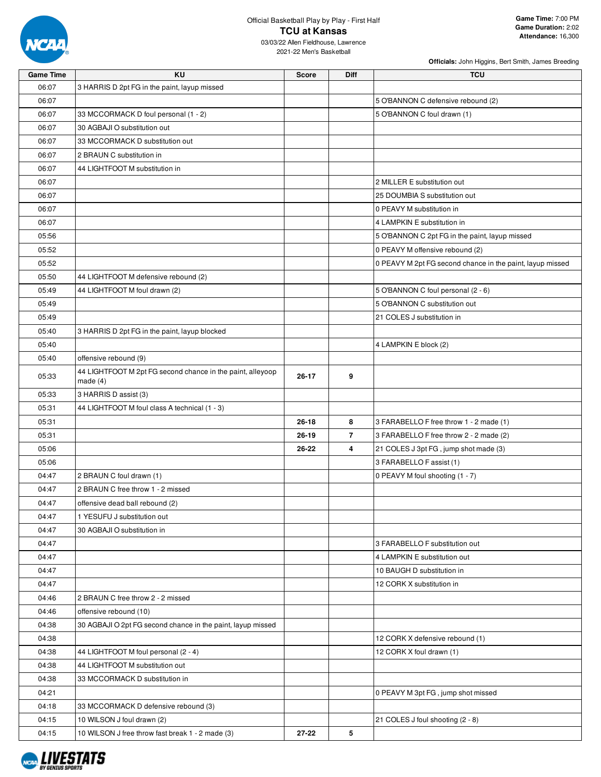

### Official Basketball Play by Play - First Half **TCU at Kansas** 03/03/22 Allen Fieldhouse, Lawrence

2021-22 Men's Basketball

| <b>Game Time</b> | KU                                                          | <b>Score</b> | <b>Diff</b>    | <b>TCU</b>                                                |
|------------------|-------------------------------------------------------------|--------------|----------------|-----------------------------------------------------------|
| 06:07            | 3 HARRIS D 2pt FG in the paint, layup missed                |              |                |                                                           |
| 06:07            |                                                             |              |                | 5 O'BANNON C defensive rebound (2)                        |
| 06:07            | 33 MCCORMACK D foul personal (1 - 2)                        |              |                | 5 O'BANNON C foul drawn (1)                               |
| 06:07            | 30 AGBAJI O substitution out                                |              |                |                                                           |
| 06:07            | 33 MCCORMACK D substitution out                             |              |                |                                                           |
| 06:07            | 2 BRAUN C substitution in                                   |              |                |                                                           |
| 06:07            | 44 LIGHTFOOT M substitution in                              |              |                |                                                           |
| 06:07            |                                                             |              |                | 2 MILLER E substitution out                               |
| 06:07            |                                                             |              |                | 25 DOUMBIA S substitution out                             |
| 06:07            |                                                             |              |                | 0 PEAVY M substitution in                                 |
| 06:07            |                                                             |              |                | 4 LAMPKIN E substitution in                               |
| 05:56            |                                                             |              |                | 5 O'BANNON C 2pt FG in the paint, layup missed            |
| 05:52            |                                                             |              |                | 0 PEAVY M offensive rebound (2)                           |
| 05:52            |                                                             |              |                | 0 PEAVY M 2pt FG second chance in the paint, layup missed |
| 05:50            | 44 LIGHTFOOT M defensive rebound (2)                        |              |                |                                                           |
| 05:49            | 44 LIGHTFOOT M foul drawn (2)                               |              |                | 5 O'BANNON C foul personal (2 - 6)                        |
| 05:49            |                                                             |              |                | 5 O'BANNON C substitution out                             |
| 05:49            |                                                             |              |                | 21 COLES J substitution in                                |
| 05:40            | 3 HARRIS D 2pt FG in the paint, layup blocked               |              |                |                                                           |
| 05:40            |                                                             |              |                | 4 LAMPKIN E block (2)                                     |
| 05:40            | offensive rebound (9)                                       |              |                |                                                           |
|                  | 44 LIGHTFOOT M 2pt FG second chance in the paint, alleyoop  |              |                |                                                           |
| 05:33            | made $(4)$                                                  | 26-17        | 9              |                                                           |
| 05:33            | 3 HARRIS D assist (3)                                       |              |                |                                                           |
| 05:31            | 44 LIGHTFOOT M foul class A technical (1 - 3)               |              |                |                                                           |
| 05:31            |                                                             | $26 - 18$    | 8              | 3 FARABELLO F free throw 1 - 2 made (1)                   |
| 05:31            |                                                             | 26-19        | $\overline{7}$ | 3 FARABELLO F free throw 2 - 2 made (2)                   |
| 05:06            |                                                             | 26-22        | 4              | 21 COLES J 3pt FG, jump shot made (3)                     |
| 05:06            |                                                             |              |                | 3 FARABELLO F assist (1)                                  |
| 04:47            | 2 BRAUN C foul drawn (1)                                    |              |                | 0 PEAVY M foul shooting (1 - 7)                           |
| 04:47            | 2 BRAUN C free throw 1 - 2 missed                           |              |                |                                                           |
| 04:47            | offensive dead ball rebound (2)                             |              |                |                                                           |
| 04:47            | 1 YESUFU J substitution out                                 |              |                |                                                           |
| 04:47            | 30 AGBAJI O substitution in                                 |              |                |                                                           |
| 04:47            |                                                             |              |                | 3 FARABELLO F substitution out                            |
| 04:47            |                                                             |              |                | 4 LAMPKIN E substitution out                              |
| 04:47            |                                                             |              |                | 10 BAUGH D substitution in                                |
| 04:47            |                                                             |              |                | 12 CORK X substitution in                                 |
| 04:46            | 2 BRAUN C free throw 2 - 2 missed                           |              |                |                                                           |
| 04:46            | offensive rebound (10)                                      |              |                |                                                           |
| 04:38            | 30 AGBAJI O 2pt FG second chance in the paint, layup missed |              |                |                                                           |
| 04:38            |                                                             |              |                | 12 CORK X defensive rebound (1)                           |
| 04:38            | 44 LIGHTFOOT M foul personal (2 - 4)                        |              |                | 12 CORK X foul drawn (1)                                  |
| 04:38            | 44 LIGHTFOOT M substitution out                             |              |                |                                                           |
| 04:38            | 33 MCCORMACK D substitution in                              |              |                |                                                           |
| 04:21            |                                                             |              |                | 0 PEAVY M 3pt FG, jump shot missed                        |
| 04:18            | 33 MCCORMACK D defensive rebound (3)                        |              |                |                                                           |
| 04:15            | 10 WILSON J foul drawn (2)                                  |              |                | 21 COLES J foul shooting (2 - 8)                          |
| 04:15            | 10 WILSON J free throw fast break 1 - 2 made (3)            | 27-22        | 5              |                                                           |

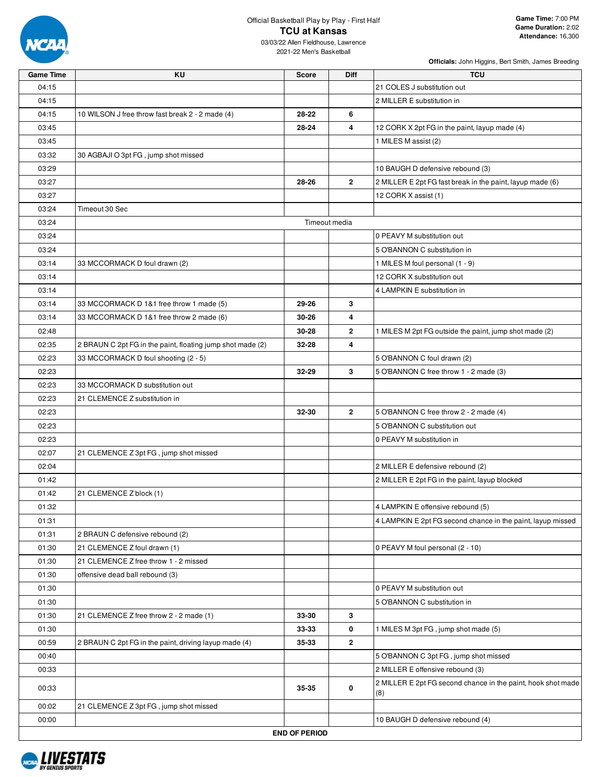

## Official Basketball Play by Play - First Half **TCU at Kansas**

| <b>Game Time</b> | KU                                                         | <b>Score</b>         | Diff           | <b>TCU</b>                                                          |
|------------------|------------------------------------------------------------|----------------------|----------------|---------------------------------------------------------------------|
| 04:15            |                                                            |                      |                | 21 COLES J substitution out                                         |
| 04:15            |                                                            |                      |                | 2 MILLER E substitution in                                          |
| 04:15            | 10 WILSON J free throw fast break 2 - 2 made (4)           | 28-22                | 6              |                                                                     |
| 03:45            |                                                            | 28-24                | 4              | 12 CORK X 2pt FG in the paint, layup made (4)                       |
| 03:45            |                                                            |                      |                | 1 MILES M assist (2)                                                |
| 03:32            | 30 AGBAJI O 3pt FG, jump shot missed                       |                      |                |                                                                     |
| 03:29            |                                                            |                      |                | 10 BAUGH D defensive rebound (3)                                    |
| 03:27            |                                                            | 28-26                | $\mathbf{2}$   | 2 MILLER E 2pt FG fast break in the paint, layup made (6)           |
| 03:27            |                                                            |                      |                | 12 CORK X assist (1)                                                |
| 03:24            | Timeout 30 Sec                                             |                      |                |                                                                     |
| 03:24            |                                                            | Timeout media        |                |                                                                     |
| 03:24            |                                                            |                      |                | 0 PEAVY M substitution out                                          |
| 03:24            |                                                            |                      |                | 5 O'BANNON C substitution in                                        |
| 03:14            | 33 MCCORMACK D foul drawn (2)                              |                      |                | 1 MILES M foul personal (1 - 9)                                     |
| 03:14            |                                                            |                      |                | 12 CORK X substitution out                                          |
| 03:14            |                                                            |                      |                | 4 LAMPKIN E substitution in                                         |
| 03:14            | 33 MCCORMACK D 1&1 free throw 1 made (5)                   | 29-26                | 3              |                                                                     |
| 03:14            | 33 MCCORMACK D 1&1 free throw 2 made (6)                   | 30-26                | 4              |                                                                     |
| 02:48            |                                                            | 30-28                | 2              | 1 MILES M 2pt FG outside the paint, jump shot made (2)              |
| 02:35            | 2 BRAUN C 2pt FG in the paint, floating jump shot made (2) | 32-28                | 4              |                                                                     |
| 02:23            | 33 MCCORMACK D foul shooting (2 - 5)                       |                      |                | 5 O'BANNON C foul drawn (2)                                         |
| 02:23            |                                                            | $32 - 29$            | 3              | 5 O'BANNON C free throw 1 - 2 made (3)                              |
| 02:23            | 33 MCCORMACK D substitution out                            |                      |                |                                                                     |
| 02:23            | 21 CLEMENCE Z substitution in                              |                      |                |                                                                     |
| 02:23            |                                                            | 32-30                | $\overline{2}$ | 5 O'BANNON C free throw 2 - 2 made (4)                              |
| 02:23            |                                                            |                      |                | 5 O'BANNON C substitution out                                       |
| 02:23            |                                                            |                      |                | 0 PEAVY M substitution in                                           |
| 02:07            | 21 CLEMENCE Z 3pt FG, jump shot missed                     |                      |                |                                                                     |
| 02:04            |                                                            |                      |                | 2 MILLER E defensive rebound (2)                                    |
| 01:42            |                                                            |                      |                | 2 MILLER E 2pt FG in the paint, layup blocked                       |
| 01:42            | 21 CLEMENCE Z block (1)                                    |                      |                |                                                                     |
| 01:32            |                                                            |                      |                | 4 LAMPKIN E offensive rebound (5)                                   |
| 01:31            |                                                            |                      |                | 4 LAMPKIN E 2pt FG second chance in the paint, layup missed         |
| 01:31            | 2 BRAUN C defensive rebound (2)                            |                      |                |                                                                     |
| 01:30            | 21 CLEMENCE Z foul drawn (1)                               |                      |                | 0 PEAVY M foul personal (2 - 10)                                    |
| 01:30            | 21 CLEMENCE Z free throw 1 - 2 missed                      |                      |                |                                                                     |
| 01:30            | offensive dead ball rebound (3)                            |                      |                |                                                                     |
| 01:30            |                                                            |                      |                | 0 PEAVY M substitution out                                          |
| 01:30            |                                                            |                      |                | 5 O'BANNON C substitution in                                        |
| 01:30            | 21 CLEMENCE Z free throw 2 - 2 made (1)                    | 33-30                | 3              |                                                                     |
| 01:30            |                                                            | 33-33                | 0              | 1 MILES M 3pt FG, jump shot made (5)                                |
| 00:59            | 2 BRAUN C 2pt FG in the paint, driving layup made (4)      | 35-33                | $\mathbf{2}$   |                                                                     |
| 00:40            |                                                            |                      |                | 5 O'BANNON C 3pt FG, jump shot missed                               |
| 00:33            |                                                            |                      |                | 2 MILLER E offensive rebound (3)                                    |
| 00:33            |                                                            | 35-35                | 0              | 2 MILLER E 2pt FG second chance in the paint, hook shot made<br>(8) |
| 00:02            | 21 CLEMENCE Z 3pt FG, jump shot missed                     |                      |                |                                                                     |
| 00:00            |                                                            |                      |                | 10 BAUGH D defensive rebound (4)                                    |
|                  |                                                            | <b>END OF PERIOD</b> |                |                                                                     |

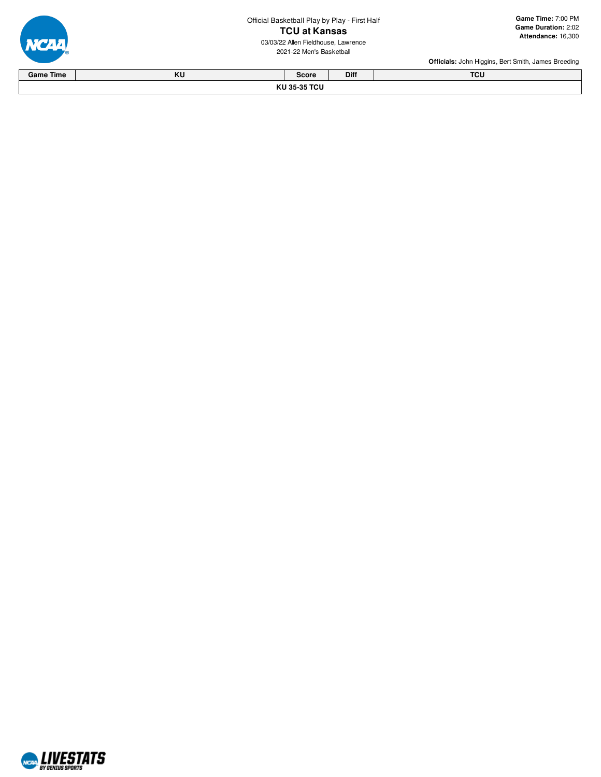Official Basketball Play by Play - First Half **T C U a t K a n s a s**



03/03/22 Allen Fieldhouse, Lawrence 2021-22 Men's Basketba



| <b>Game Time</b> | $\mathbf{V}$<br>n,                           | Score | Diff | <b>TOU</b><br>ישו |  |  |  |  |
|------------------|----------------------------------------------|-------|------|-------------------|--|--|--|--|
|                  | $\sim$ $\sim$ $\sim$ $\sim$<br>171<br>.<br>. |       |      |                   |  |  |  |  |

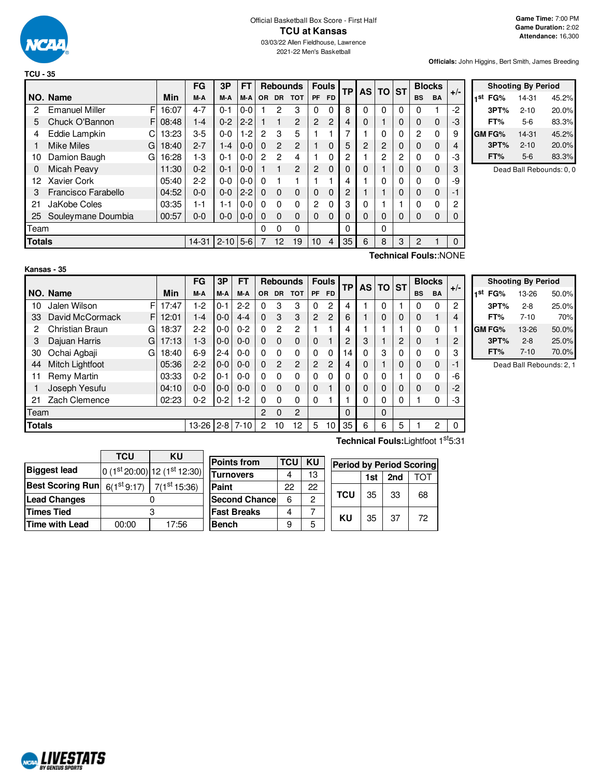

|               |                       |   |       | FG        | 3P           | <b>FT</b> |          |               | <b>Rebounds</b> | <b>Fouls</b>   |                | TP | AS I | <b>TO</b> | <b>ST</b> |                | <b>Blocks</b> | $+/-$        |
|---------------|-----------------------|---|-------|-----------|--------------|-----------|----------|---------------|-----------------|----------------|----------------|----|------|-----------|-----------|----------------|---------------|--------------|
|               | NO. Name              |   | Min   | M-A       | M-A          | M-A       | OR.      | <b>DR</b>     | <b>TOT</b>      | <b>PF</b>      | <b>FD</b>      |    |      |           |           | <b>BS</b>      | <b>BA</b>     |              |
| 2             | <b>Emanuel Miller</b> | F | 16:07 | $4 - 7$   | $0 - 1$      | $0 - 0$   |          | 2             | 3               | 0              | 0              | 8  | 0    | 0         | 0         | $\Omega$       |               | $-2$         |
| 5             | Chuck O'Bannon        | F | 08:48 | $1 - 4$   | $0 - 2$      | $2 - 2$   |          |               | $\overline{c}$  | $\overline{c}$ | $\overline{2}$ | 4  | 0    | 1         | 0         | 0              | 0             | -3           |
| 4             | Eddie Lampkin         | С | 13:23 | $3-5$     | $0 - 0$      | $1-2$     | 2        | 3             | 5               |                |                | 7  |      | 0         | 0         | $\overline{2}$ | $\mathbf 0$   | 9            |
|               | <b>Mike Miles</b>     | G | 18:40 | $2 - 7$   | $1 - 4$      | $0 - 0$   | $\Omega$ | $\mathcal{P}$ | $\overline{2}$  |                | 0              | 5  | 2    | 2         | 0         | 0              | 0             | 4            |
| 10            | Damion Baugh          | G | 16:28 | 1-3       | $0 - 1$      | $0-0$     | 2        | 2             | 4               |                | 0              | 2  |      | 2         | 2         | 0              | 0             | -3           |
| 0             | Micah Peavy           |   | 11:30 | $0 - 2$   | $0 - 1$      | $0 - 0$   |          |               | 2               | 2              | $\Omega$       | 0  | 0    |           | $\Omega$  | 0              | $\Omega$      | 3            |
| 12            | Xavier Cork           |   | 05:40 | $2-2$     | $0 - 0$      | $0-0$     | 0        |               |                 |                |                | 4  |      | 0         | 0         | $\Omega$       | $\mathbf 0$   | -9           |
| 3             | Francisco Farabello   |   | 04:52 | $0 - 0$   | $0 - 0$      | $2 - 2$   | $\Omega$ | $\Omega$      | $\mathbf 0$     | 0              | 0              | 2  |      |           | $\Omega$  | 0              | $\Omega$      | -1           |
| 21            | JaKobe Coles          |   | 03:35 | $1 - 1$   | 1-1          | $0-0$     | 0        | $\Omega$      | $\mathbf 0$     | 2              | 0              | 3  | 0    |           |           | 0              | 0             | 2            |
| 25            | Souleymane Doumbia    |   | 00:57 | $0 - 0$   | $0 - 0$      | $ 0-0 $   | $\Omega$ | $\Omega$      | 0               | 0              | 0              | 0  | 0    | $\Omega$  | 0         | 0              | $\Omega$      | 0            |
| Team          |                       |   |       |           |              |           | 0        | 0             | 0               |                |                | 0  |      | 0         |           |                |               |              |
| <b>Totals</b> |                       |   |       | $14 - 31$ | $2 - 10$ 5-6 |           | 7        | 12            | 19              | 10             | $\overline{4}$ | 35 | 6    | 8         | 3         | 2              |               | $\mathbf{0}$ |
|               | Technical Fouls::NONE |   |       |           |              |           |          |               |                 |                |                |    |      |           |           |                |               |              |



Dead Ball Rebounds: 0, 0

|               | Kansas - 35          |       |           |         |           |              |                 |                |                |                |    |          |             |              |           |               |       |
|---------------|----------------------|-------|-----------|---------|-----------|--------------|-----------------|----------------|----------------|----------------|----|----------|-------------|--------------|-----------|---------------|-------|
|               |                      |       | <b>FG</b> | 3Р      | <b>FT</b> |              | <b>Rebounds</b> |                |                | <b>Fouls</b>   | ТP |          | AS TO ST    |              |           | <b>Blocks</b> |       |
|               | NO. Name             | Min   | M-A       | M-A     | M-A       | OR.          | <b>DR</b>       | <b>TOT</b>     | <b>PF</b>      | <b>FD</b>      |    |          |             |              | <b>BS</b> | <b>BA</b>     | $+/-$ |
| 10            | Jalen Wilson<br>F    | 17:47 | $1-2$     | $0 - 1$ | $2 - 2$   | $\Omega$     | 3               | 3              | 0              | 2              | 4  |          | 0           |              | $\Omega$  | 0             | 2     |
| 33            | David McCormack<br>F | 12:01 | $1 - 4$   | $0-0$   | $4 - 4$   | $\mathbf{0}$ | 3               | 3              | $\overline{2}$ | $\overline{2}$ | 6  |          | $\mathbf 0$ | $\mathbf{0}$ | 0         |               | 4     |
| 2             | Christian Braun<br>G | 18:37 | $2 - 2$   | $0 - 0$ | $0 - 2$   | $\Omega$     | 2               | $\overline{2}$ |                |                | 4  |          |             |              | $\Omega$  | 0             |       |
| 3             | Dajuan Harris<br>G   | 17:13 | $1-3$     | $0-0$   | $0 - 0$   | $\Omega$     | $\Omega$        | $\Omega$       | $\Omega$       |                | 2  | 3        |             | 2            | $\Omega$  |               | 2     |
| 30            | Ochai Agbaji<br>G    | 18:40 | $6 - 9$   | $2 - 4$ | $0-0$     | $\Omega$     | $\Omega$        | $\mathbf 0$    | 0              | 0              | 14 | 0        | 3           | 0            | $\Omega$  | 0             | 3     |
| 44            | Mitch Lightfoot      | 05:36 | $2 - 2$   | $0-0$   | $0 - 0$   | $\Omega$     | $\overline{2}$  | $\overline{2}$ | 2              | $\overline{2}$ | 4  | 0        |             | 0            | $\Omega$  | $\Omega$      | $-1$  |
| 11            | Remy Martin          | 03:33 | $0 - 2$   | $0 - 1$ | $0-0$     | $\Omega$     | $\Omega$        | $\mathbf 0$    | 0              | 0              | 0  | 0        | 0           |              | $\Omega$  | 0             | -6    |
|               | Joseph Yesufu        | 04:10 | $0 - 0$   | $0 - 0$ | $0 - 0$   | $\Omega$     | $\Omega$        | $\Omega$       | $\Omega$       |                | 0  | $\Omega$ | $\Omega$    | $\Omega$     | $\Omega$  | $\Omega$      | $-2$  |
| 21            | Zach Clemence        | 02:23 | $0 - 2$   | $0-2$   | $1-2$     | $\Omega$     | $\Omega$        | $\Omega$       | 0              |                |    | 0        | 0           | 0            |           | $\Omega$      | -3    |
| Team          |                      |       |           |         |           | 2            | $\Omega$        | 2              |                |                | 0  |          | 0           |              |           |               |       |
| <b>Totals</b> |                      |       | $13 - 26$ | $2 - 8$ | $7 - 10$  | 2            | 10              | 12             | 5              | 10             | 35 | 6        | 6           | 5            |           | 2             | 0     |

| <b>Shooting By Period</b> |          |       |  |  |  |  |  |  |
|---------------------------|----------|-------|--|--|--|--|--|--|
| 1st<br>FG%                | 13-26    | 50.0% |  |  |  |  |  |  |
| 3PT%                      | $2 - 8$  | 25.0% |  |  |  |  |  |  |
| FT%                       | $7 - 10$ | 70%   |  |  |  |  |  |  |
| GM FG%                    | 13-26    | 50.0% |  |  |  |  |  |  |
| 3PT%                      | $2 - 8$  | 25.0% |  |  |  |  |  |  |
| FT%                       | $7 - 10$ | 70.0% |  |  |  |  |  |  |

Dead Ball Rebounds: 2, 1

|                         | TCU                     | ΚU                          |  |  |  |
|-------------------------|-------------------------|-----------------------------|--|--|--|
| <b>Biggest lead</b>     |                         | $0(1st20:00) 12(1st12:30) $ |  |  |  |
| <b>Best Scoring Run</b> | 6(1 <sup>st</sup> 9:17) | $7(1^{st} 15:36)$           |  |  |  |
| <b>Lead Changes</b>     |                         |                             |  |  |  |
| <b>Times Tied</b>       |                         |                             |  |  |  |
| <b>Time with Lead</b>   | 00:00                   | 17:56                       |  |  |  |

| <b>Points from</b>   | <b>TCU</b> | KU | eı |
|----------------------|------------|----|----|
| Turnovers            | 4          | 13 |    |
| Paint                | 22         | 22 |    |
| <b>Second Chance</b> | 6          | 2  | ТΟ |
| <b>Fast Breaks</b>   |            |    | ĸ  |
| <b>Bench</b>         | 9          | 5  |    |

**Technical Fouls:**Lightfoot 1 st5:31

| <b>Period by Period Scoring</b> |                     |    |    |  |  |  |  |  |  |  |
|---------------------------------|---------------------|----|----|--|--|--|--|--|--|--|
|                                 | 2nd<br>ТОТ<br>1st l |    |    |  |  |  |  |  |  |  |
| <b>TCU</b>                      | 35                  | 33 | 68 |  |  |  |  |  |  |  |
| ΚU                              | 35                  | 37 | 72 |  |  |  |  |  |  |  |

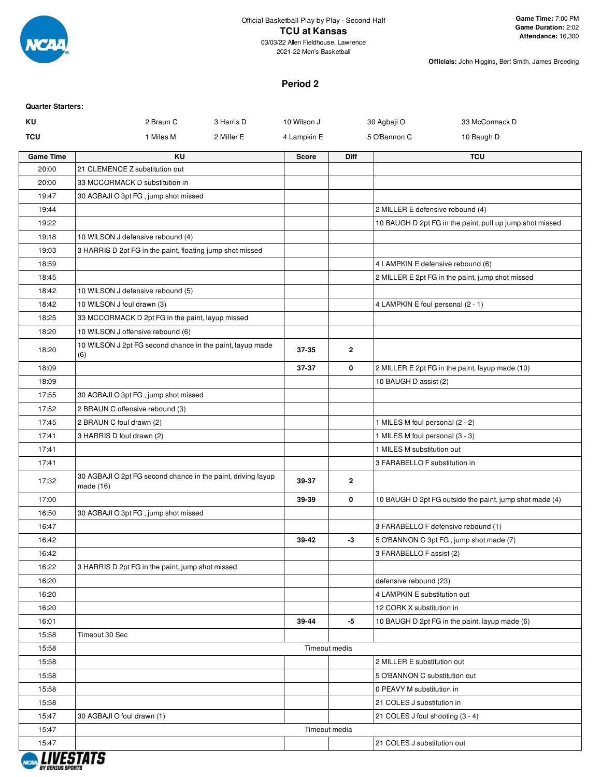

2021-22 Men's Basketball

**Officials:** John Higgins, Bert Smith, James Breeding

### **Period 2**

| <b>Quarter Starters:</b> |                                                                           |            |               |             |                                         |                                                          |
|--------------------------|---------------------------------------------------------------------------|------------|---------------|-------------|-----------------------------------------|----------------------------------------------------------|
| KU                       | 2 Braun C                                                                 | 3 Harris D | 10 Wilson J   |             | 30 Agbaji O                             | 33 McCormack D                                           |
| TCU                      | 1 Miles M                                                                 | 2 Miller E | 4 Lampkin E   |             | 5 O'Bannon C                            | 10 Baugh D                                               |
| <b>Game Time</b>         | KU                                                                        |            | <b>Score</b>  | <b>Diff</b> |                                         | <b>TCU</b>                                               |
| 20:00                    | 21 CLEMENCE Z substitution out                                            |            |               |             |                                         |                                                          |
| 20:00                    | 33 MCCORMACK D substitution in                                            |            |               |             |                                         |                                                          |
| 19:47                    | 30 AGBAJI O 3pt FG, jump shot missed                                      |            |               |             |                                         |                                                          |
| 19:44                    |                                                                           |            |               |             | 2 MILLER E defensive rebound (4)        |                                                          |
| 19:22                    |                                                                           |            |               |             |                                         | 10 BAUGH D 2pt FG in the paint, pull up jump shot missed |
| 19:18                    | 10 WILSON J defensive rebound (4)                                         |            |               |             |                                         |                                                          |
| 19:03                    | 3 HARRIS D 2pt FG in the paint, floating jump shot missed                 |            |               |             |                                         |                                                          |
| 18:59                    |                                                                           |            |               |             | 4 LAMPKIN E defensive rebound (6)       |                                                          |
| 18:45                    |                                                                           |            |               |             |                                         | 2 MILLER E 2pt FG in the paint, jump shot missed         |
| 18:42                    | 10 WILSON J defensive rebound (5)                                         |            |               |             |                                         |                                                          |
| 18:42                    | 10 WILSON J foul drawn (3)                                                |            |               |             | 4 LAMPKIN E foul personal (2 - 1)       |                                                          |
| 18:25                    | 33 MCCORMACK D 2pt FG in the paint, layup missed                          |            |               |             |                                         |                                                          |
| 18:20                    | 10 WILSON J offensive rebound (6)                                         |            |               |             |                                         |                                                          |
| 18:20                    | 10 WILSON J 2pt FG second chance in the paint, layup made<br>(6)          |            | 37-35         | 2           |                                         |                                                          |
| 18:09                    |                                                                           |            | 37-37         | 0           |                                         | 2 MILLER E 2pt FG in the paint, layup made (10)          |
| 18:09                    |                                                                           |            |               |             | 10 BAUGH D assist (2)                   |                                                          |
| 17:55                    | 30 AGBAJI O 3pt FG, jump shot missed                                      |            |               |             |                                         |                                                          |
| 17:52                    | 2 BRAUN C offensive rebound (3)                                           |            |               |             |                                         |                                                          |
| 17:45                    | 2 BRAUN C foul drawn (2)                                                  |            |               |             | 1 MILES M foul personal (2 - 2)         |                                                          |
| 17:41                    | 3 HARRIS D foul drawn (2)                                                 |            |               |             | 1 MILES M foul personal (3 - 3)         |                                                          |
| 17:41                    |                                                                           |            |               |             | 1 MILES M substitution out              |                                                          |
| 17:41                    |                                                                           |            |               |             | 3 FARABELLO F substitution in           |                                                          |
| 17:32                    | 30 AGBAJI O 2pt FG second chance in the paint, driving layup<br>made (16) |            | 39-37         | 2           |                                         |                                                          |
| 17:00                    |                                                                           |            | 39-39         | 0           |                                         | 10 BAUGH D 2pt FG outside the paint, jump shot made (4)  |
| 16:50                    | 30 AGBAJI O 3pt FG, jump shot missed                                      |            |               |             |                                         |                                                          |
| 16:47                    |                                                                           |            |               |             | 3 FARABELLO F defensive rebound (1)     |                                                          |
| 16:42                    |                                                                           |            | 39-42         | -3          | 5 O'BANNON C 3pt FG, jump shot made (7) |                                                          |
| 16:42                    |                                                                           |            |               |             | 3 FARABELLO F assist (2)                |                                                          |
| 16:22                    | 3 HARRIS D 2pt FG in the paint, jump shot missed                          |            |               |             |                                         |                                                          |
| 16:20                    |                                                                           |            |               |             | defensive rebound (23)                  |                                                          |
| 16:20                    |                                                                           |            |               |             | 4 LAMPKIN E substitution out            |                                                          |
| 16:20                    |                                                                           |            |               |             | 12 CORK X substitution in               |                                                          |
| 16:01                    |                                                                           |            | 39-44         | -5          |                                         | 10 BAUGH D 2pt FG in the paint, layup made (6)           |
| 15:58                    | Timeout 30 Sec                                                            |            |               |             |                                         |                                                          |
| 15:58                    |                                                                           |            | Timeout media |             |                                         |                                                          |
| 15:58                    |                                                                           |            |               |             | 2 MILLER E substitution out             |                                                          |
| 15:58                    |                                                                           |            |               |             | 5 O'BANNON C substitution out           |                                                          |
| 15:58                    |                                                                           |            |               |             | 0 PEAVY M substitution in               |                                                          |
| 15:58                    |                                                                           |            |               |             | 21 COLES J substitution in              |                                                          |
| 15:47                    | 30 AGBAJI O foul drawn (1)                                                |            |               |             | 21 COLES J foul shooting (3 - 4)        |                                                          |
| 15:47                    |                                                                           |            | Timeout media |             |                                         |                                                          |
| 15:47                    |                                                                           |            |               |             | 21 COLES J substitution out             |                                                          |
| <b>BY GENIUS SPORT</b>   | <i><b>LIVESTATS</b></i>                                                   |            |               |             |                                         |                                                          |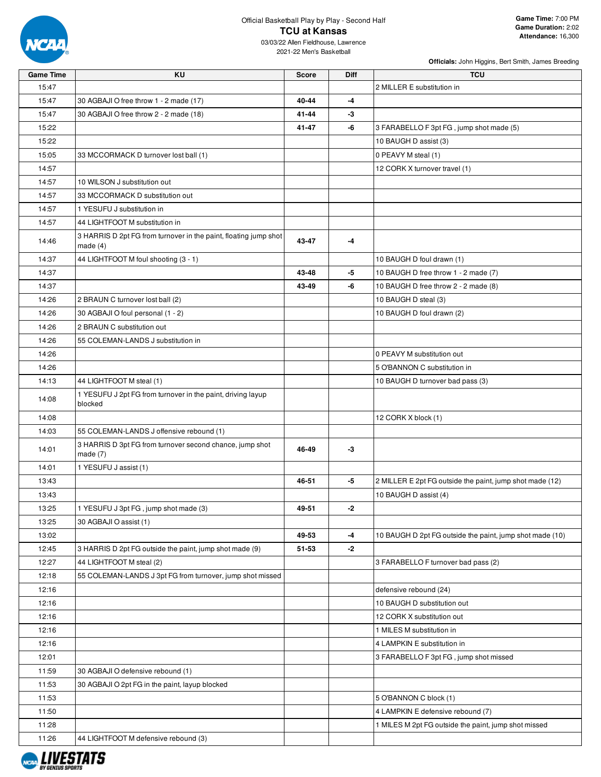

# Official Basketball Play by Play - Second Half **TCU at Kansas**

| <b>Game Time</b> | <b>KU</b>                                                                      | <b>Score</b> | Diff | <b>TCU</b>                                               |
|------------------|--------------------------------------------------------------------------------|--------------|------|----------------------------------------------------------|
| 15:47            |                                                                                |              |      | 2 MILLER E substitution in                               |
| 15:47            | 30 AGBAJI O free throw 1 - 2 made (17)                                         | 40-44        | $-4$ |                                                          |
| 15:47            | 30 AGBAJI O free throw 2 - 2 made (18)                                         | 41-44        | -3   |                                                          |
| 15:22            |                                                                                | 41-47        | -6   | 3 FARABELLO F 3pt FG, jump shot made (5)                 |
| 15:22            |                                                                                |              |      | 10 BAUGH D assist (3)                                    |
| 15:05            | 33 MCCORMACK D turnover lost ball (1)                                          |              |      | 0 PEAVY M steal (1)                                      |
| 14:57            |                                                                                |              |      | 12 CORK X turnover travel (1)                            |
| 14:57            | 10 WILSON J substitution out                                                   |              |      |                                                          |
| 14:57            | 33 MCCORMACK D substitution out                                                |              |      |                                                          |
| 14:57            | 1 YESUFU J substitution in                                                     |              |      |                                                          |
| 14:57            | 44 LIGHTFOOT M substitution in                                                 |              |      |                                                          |
|                  |                                                                                |              |      |                                                          |
| 14:46            | 3 HARRIS D 2pt FG from turnover in the paint, floating jump shot<br>made $(4)$ | 43-47        | -4   |                                                          |
| 14:37            | 44 LIGHTFOOT M foul shooting (3 - 1)                                           |              |      | 10 BAUGH D foul drawn (1)                                |
| 14:37            |                                                                                | 43-48        | -5   | 10 BAUGH D free throw 1 - 2 made (7)                     |
| 14:37            |                                                                                | 43-49        | -6   | 10 BAUGH D free throw 2 - 2 made (8)                     |
| 14:26            | 2 BRAUN C turnover lost ball (2)                                               |              |      | 10 BAUGH D steal (3)                                     |
| 14:26            | 30 AGBAJI O foul personal (1 - 2)                                              |              |      | 10 BAUGH D foul drawn (2)                                |
| 14:26            | 2 BRAUN C substitution out                                                     |              |      |                                                          |
|                  |                                                                                |              |      |                                                          |
| 14:26            | 55 COLEMAN-LANDS J substitution in                                             |              |      |                                                          |
| 14:26            |                                                                                |              |      | 0 PEAVY M substitution out                               |
| 14:26            |                                                                                |              |      | 5 O'BANNON C substitution in                             |
| 14:13            | 44 LIGHTFOOT M steal (1)                                                       |              |      | 10 BAUGH D turnover bad pass (3)                         |
| 14:08            | 1 YESUFU J 2pt FG from turnover in the paint, driving layup<br>blocked         |              |      |                                                          |
| 14:08            |                                                                                |              |      | 12 CORK X block (1)                                      |
| 14:03            | 55 COLEMAN-LANDS J offensive rebound (1)                                       |              |      |                                                          |
| 14:01            | 3 HARRIS D 3pt FG from turnover second chance, jump shot<br>made $(7)$         | 46-49        | -3   |                                                          |
| 14:01            | 1 YESUFU J assist (1)                                                          |              |      |                                                          |
| 13:43            |                                                                                | 46-51        | -5   | 2 MILLER E 2pt FG outside the paint, jump shot made (12) |
| 13:43            |                                                                                |              |      | 10 BAUGH D assist (4)                                    |
| 13:25            | 1 YESUFU J 3pt FG, jump shot made (3)                                          | 49-51        | -2   |                                                          |
| 13:25            | 30 AGBAJI O assist (1)                                                         |              |      |                                                          |
| 13:02            |                                                                                | 49-53        | -4   | 10 BAUGH D 2pt FG outside the paint, jump shot made (10) |
| 12:45            | 3 HARRIS D 2pt FG outside the paint, jump shot made (9)                        | 51-53        | -2   |                                                          |
| 12:27            | 44 LIGHTFOOT M steal (2)                                                       |              |      | 3 FARABELLO F turnover bad pass (2)                      |
| 12:18            | 55 COLEMAN-LANDS J 3pt FG from turnover, jump shot missed                      |              |      |                                                          |
| 12:16            |                                                                                |              |      | defensive rebound (24)                                   |
| 12:16            |                                                                                |              |      | 10 BAUGH D substitution out                              |
| 12:16            |                                                                                |              |      | 12 CORK X substitution out                               |
| 12:16            |                                                                                |              |      | 1 MILES M substitution in                                |
| 12:16            |                                                                                |              |      | 4 LAMPKIN E substitution in                              |
| 12:01            |                                                                                |              |      | 3 FARABELLO F 3pt FG, jump shot missed                   |
| 11:59            | 30 AGBAJI O defensive rebound (1)                                              |              |      |                                                          |
| 11:53            | 30 AGBAJI O 2pt FG in the paint, layup blocked                                 |              |      |                                                          |
| 11:53            |                                                                                |              |      | 5 O'BANNON C block (1)                                   |
|                  |                                                                                |              |      |                                                          |
| 11:50            |                                                                                |              |      | 4 LAMPKIN E defensive rebound (7)                        |
| 11:28            |                                                                                |              |      | 1 MILES M 2pt FG outside the paint, jump shot missed     |
| 11:26            | 44 LIGHTFOOT M defensive rebound (3)                                           |              |      |                                                          |

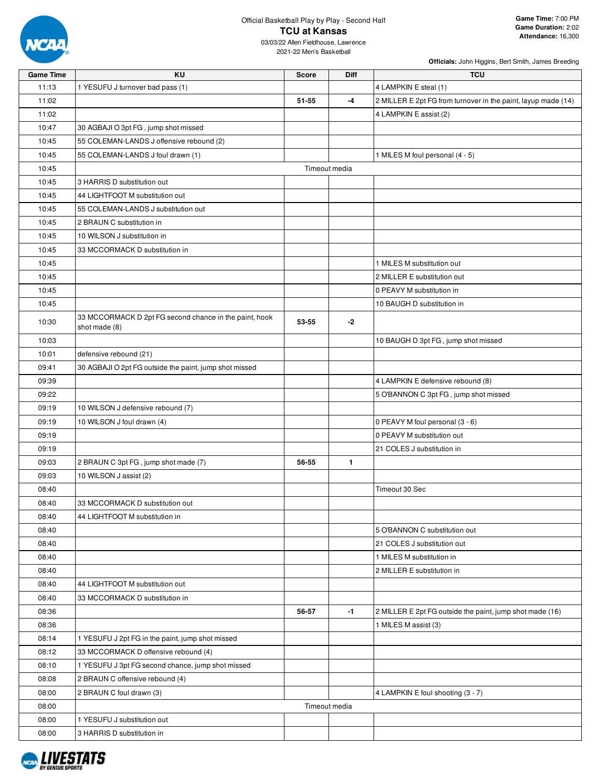

03/03/22 Allen Fieldhouse, Lawrence 2021-22 Men's Basketball

| <b>Game Time</b> | KU                                                                      | <b>Score</b> | <b>Diff</b>   | <b>TCU</b>                                                    |
|------------------|-------------------------------------------------------------------------|--------------|---------------|---------------------------------------------------------------|
| 11:13            | 1 YESUFU J turnover bad pass (1)                                        |              |               | 4 LAMPKIN E steal (1)                                         |
| 11:02            |                                                                         | 51-55        | -4            | 2 MILLER E 2pt FG from turnover in the paint, layup made (14) |
| 11:02            |                                                                         |              |               | 4 LAMPKIN E assist (2)                                        |
| 10:47            | 30 AGBAJI O 3pt FG, jump shot missed                                    |              |               |                                                               |
| 10:45            | 55 COLEMAN-LANDS J offensive rebound (2)                                |              |               |                                                               |
| 10:45            | 55 COLEMAN-LANDS J foul drawn (1)                                       |              |               | 1 MILES M foul personal (4 - 5)                               |
| 10:45            |                                                                         |              | Timeout media |                                                               |
| 10:45            | 3 HARRIS D substitution out                                             |              |               |                                                               |
| 10:45            | 44 LIGHTFOOT M substitution out                                         |              |               |                                                               |
| 10:45            | 55 COLEMAN-LANDS J substitution out                                     |              |               |                                                               |
| 10:45            | 2 BRAUN C substitution in                                               |              |               |                                                               |
| 10:45            | 10 WILSON J substitution in                                             |              |               |                                                               |
| 10:45            | 33 MCCORMACK D substitution in                                          |              |               |                                                               |
| 10:45            |                                                                         |              |               | 1 MILES M substitution out                                    |
| 10:45            |                                                                         |              |               | 2 MILLER E substitution out                                   |
| 10:45            |                                                                         |              |               | 0 PEAVY M substitution in                                     |
| 10:45            |                                                                         |              |               | 10 BAUGH D substitution in                                    |
| 10:30            | 33 MCCORMACK D 2pt FG second chance in the paint, hook<br>shot made (8) | 53-55        | $-2$          |                                                               |
| 10:03            |                                                                         |              |               | 10 BAUGH D 3pt FG, jump shot missed                           |
| 10:01            | defensive rebound (21)                                                  |              |               |                                                               |
| 09:41            | 30 AGBAJI O 2pt FG outside the paint, jump shot missed                  |              |               |                                                               |
| 09:39            |                                                                         |              |               | 4 LAMPKIN E defensive rebound (8)                             |
| 09:22            |                                                                         |              |               | 5 O'BANNON C 3pt FG, jump shot missed                         |
| 09:19            | 10 WILSON J defensive rebound (7)                                       |              |               |                                                               |
| 09:19            | 10 WILSON J foul drawn (4)                                              |              |               | 0 PEAVY M foul personal (3 - 6)                               |
| 09:19            |                                                                         |              |               | 0 PEAVY M substitution out                                    |
| 09:19            |                                                                         |              |               | 21 COLES J substitution in                                    |
| 09:03            | 2 BRAUN C 3pt FG, jump shot made (7)                                    | 56-55        | $\mathbf{1}$  |                                                               |
| 09:03            | 10 WILSON J assist (2)                                                  |              |               |                                                               |
| 08:40            |                                                                         |              |               | Timeout 30 Sec                                                |
| 08:40            | 33 MCCORMACK D substitution out                                         |              |               |                                                               |
| 08:40            | 44 LIGHTFOOT M substitution in                                          |              |               |                                                               |
| 08:40            |                                                                         |              |               | 5 O'BANNON C substitution out                                 |
| 08:40            |                                                                         |              |               | 21 COLES J substitution out                                   |
| 08:40            |                                                                         |              |               | 1 MILES M substitution in                                     |
| 08:40            |                                                                         |              |               | 2 MILLER E substitution in                                    |
| 08:40            | 44 LIGHTFOOT M substitution out                                         |              |               |                                                               |
| 08:40            | 33 MCCORMACK D substitution in                                          |              |               |                                                               |
| 08:36            |                                                                         | 56-57        | $-1$          | 2 MILLER E 2pt FG outside the paint, jump shot made (16)      |
| 08:36            |                                                                         |              |               | 1 MILES M assist (3)                                          |
| 08:14            | 1 YESUFU J 2pt FG in the paint, jump shot missed                        |              |               |                                                               |
| 08:12            | 33 MCCORMACK D offensive rebound (4)                                    |              |               |                                                               |
| 08:10            | 1 YESUFU J 3pt FG second chance, jump shot missed                       |              |               |                                                               |
| 08:08            | 2 BRAUN C offensive rebound (4)                                         |              |               |                                                               |
| 08:00            | 2 BRAUN C foul drawn (3)                                                |              |               | 4 LAMPKIN E foul shooting (3 - 7)                             |
| 08:00            |                                                                         |              | Timeout media |                                                               |
| 08:00            | 1 YESUFU J substitution out                                             |              |               |                                                               |
| 08:00            | 3 HARRIS D substitution in                                              |              |               |                                                               |
|                  |                                                                         |              |               |                                                               |

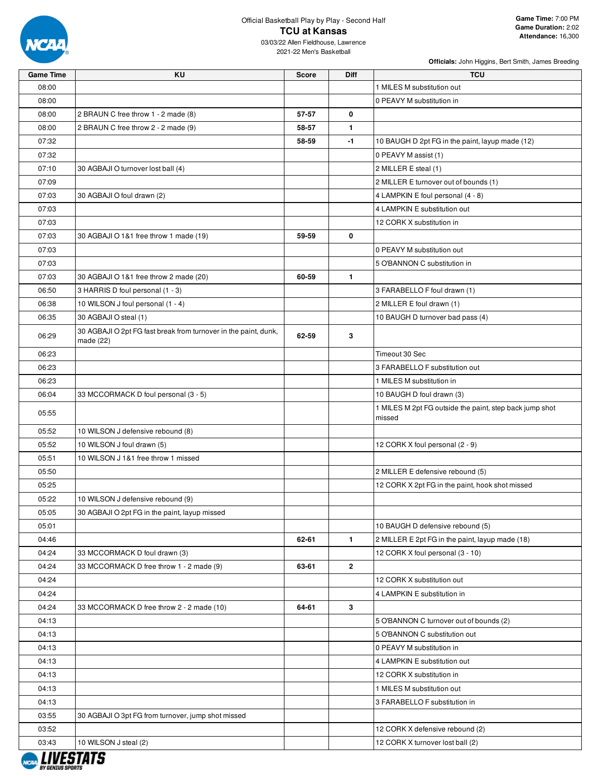

03/03/22 Allen Fieldhouse, Lawrence 2021-22 Men's Basketball

| <b>Game Time</b> | KU                                                                           | <b>Score</b> | <b>Diff</b>  | <b>TCU</b>                                                        |
|------------------|------------------------------------------------------------------------------|--------------|--------------|-------------------------------------------------------------------|
| 08:00            |                                                                              |              |              | 1 MILES M substitution out                                        |
| 08:00            |                                                                              |              |              | 0 PEAVY M substitution in                                         |
| 08:00            | 2 BRAUN C free throw 1 - 2 made (8)                                          | 57-57        | 0            |                                                                   |
| 08:00            | 2 BRAUN C free throw 2 - 2 made (9)                                          | 58-57        | $\mathbf{1}$ |                                                                   |
| 07:32            |                                                                              | 58-59        | -1           | 10 BAUGH D 2pt FG in the paint, layup made (12)                   |
| 07:32            |                                                                              |              |              | 0 PEAVY M assist (1)                                              |
| 07:10            | 30 AGBAJI O turnover lost ball (4)                                           |              |              | 2 MILLER E steal (1)                                              |
| 07:09            |                                                                              |              |              | 2 MILLER E turnover out of bounds (1)                             |
| 07:03            | 30 AGBAJI O foul drawn (2)                                                   |              |              | 4 LAMPKIN E foul personal (4 - 8)                                 |
| 07:03            |                                                                              |              |              | 4 LAMPKIN E substitution out                                      |
| 07:03            |                                                                              |              |              | 12 CORK X substitution in                                         |
| 07:03            | 30 AGBAJI O 1&1 free throw 1 made (19)                                       | 59-59        | 0            |                                                                   |
| 07:03            |                                                                              |              |              | 0 PEAVY M substitution out                                        |
| 07:03            |                                                                              |              |              | 5 O'BANNON C substitution in                                      |
| 07:03            | 30 AGBAJI O 1&1 free throw 2 made (20)                                       | 60-59        | $\mathbf{1}$ |                                                                   |
| 06:50            | 3 HARRIS D foul personal (1 - 3)                                             |              |              | 3 FARABELLO F foul drawn (1)                                      |
| 06:38            | 10 WILSON J foul personal (1 - 4)                                            |              |              | 2 MILLER E foul drawn (1)                                         |
| 06:35            | 30 AGBAJI O steal (1)                                                        |              |              | 10 BAUGH D turnover bad pass (4)                                  |
| 06:29            | 30 AGBAJI O 2pt FG fast break from turnover in the paint, dunk,<br>made (22) | 62-59        | 3            |                                                                   |
| 06:23            |                                                                              |              |              | Timeout 30 Sec                                                    |
| 06:23            |                                                                              |              |              | 3 FARABELLO F substitution out                                    |
| 06:23            |                                                                              |              |              | 1 MILES M substitution in                                         |
| 06:04            | 33 MCCORMACK D foul personal (3 - 5)                                         |              |              | 10 BAUGH D foul drawn (3)                                         |
| 05:55            |                                                                              |              |              | 1 MILES M 2pt FG outside the paint, step back jump shot<br>missed |
| 05:52            | 10 WILSON J defensive rebound (8)                                            |              |              |                                                                   |
| 05:52            | 10 WILSON J foul drawn (5)                                                   |              |              | 12 CORK X foul personal (2 - 9)                                   |
| 05:51            | 10 WILSON J 1&1 free throw 1 missed                                          |              |              |                                                                   |
| 05:50            |                                                                              |              |              | 2 MILLER E defensive rebound (5)                                  |
| 05:25            |                                                                              |              |              | 12 CORK X 2pt FG in the paint, hook shot missed                   |
| 05:22            | 10 WILSON J defensive rebound (9)                                            |              |              |                                                                   |
| 05:05            | 30 AGBAJI O 2pt FG in the paint, layup missed                                |              |              |                                                                   |
| 05:01            |                                                                              |              |              | 10 BAUGH D defensive rebound (5)                                  |
| 04:46            |                                                                              | 62-61        | $\mathbf{1}$ | 2 MILLER E 2pt FG in the paint, layup made (18)                   |
| 04:24            | 33 MCCORMACK D foul drawn (3)                                                |              |              | 12 CORK X foul personal (3 - 10)                                  |
| 04:24            | 33 MCCORMACK D free throw 1 - 2 made (9)                                     | 63-61        | $\mathbf{2}$ |                                                                   |
| 04:24            |                                                                              |              |              | 12 CORK X substitution out                                        |
| 04:24            |                                                                              |              |              | 4 LAMPKIN E substitution in                                       |
| 04:24            | 33 MCCORMACK D free throw 2 - 2 made (10)                                    | 64-61        | 3            |                                                                   |
| 04:13            |                                                                              |              |              | 5 O'BANNON C turnover out of bounds (2)                           |
| 04:13            |                                                                              |              |              | 5 O'BANNON C substitution out                                     |
| 04:13            |                                                                              |              |              | 0 PEAVY M substitution in                                         |
| 04:13            |                                                                              |              |              | 4 LAMPKIN E substitution out                                      |
| 04:13            |                                                                              |              |              | 12 CORK X substitution in                                         |
| 04:13            |                                                                              |              |              | 1 MILES M substitution out                                        |
| 04:13            |                                                                              |              |              | 3 FARABELLO F substitution in                                     |
| 03:55            | 30 AGBAJI O 3pt FG from turnover, jump shot missed                           |              |              |                                                                   |
| 03:52            |                                                                              |              |              | 12 CORK X defensive rebound (2)                                   |
| 03:43            | 10 WILSON J steal (2)                                                        |              |              | 12 CORK X turnover lost ball (2)                                  |
|                  |                                                                              |              |              |                                                                   |

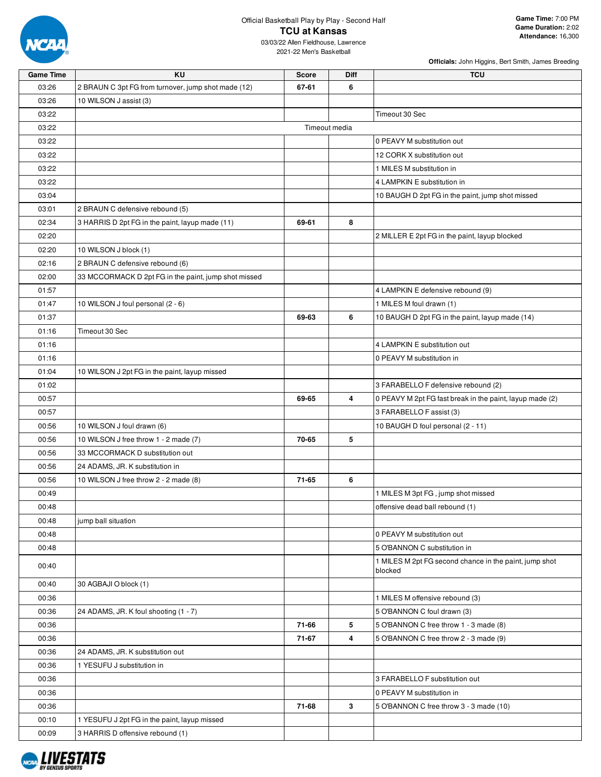

### Official Basketball Play by Play - Second Half **TCU at Kansas**

03/03/22 Allen Fieldhouse, Lawrence 2021-22 Men's Basketball

| <b>Game Time</b> | KU                                                   | <b>Score</b> | Diff          | <b>TCU</b>                                               |
|------------------|------------------------------------------------------|--------------|---------------|----------------------------------------------------------|
| 03:26            | 2 BRAUN C 3pt FG from turnover, jump shot made (12)  | 67-61        | 6             |                                                          |
| 03:26            | 10 WILSON J assist (3)                               |              |               |                                                          |
| 03:22            |                                                      |              |               | Timeout 30 Sec                                           |
| 03:22            |                                                      |              | Timeout media |                                                          |
| 03:22            |                                                      |              |               | 0 PEAVY M substitution out                               |
| 03:22            |                                                      |              |               | 12 CORK X substitution out                               |
| 03:22            |                                                      |              |               | 1 MILES M substitution in                                |
| 03:22            |                                                      |              |               | 4 LAMPKIN E substitution in                              |
| 03:04            |                                                      |              |               | 10 BAUGH D 2pt FG in the paint, jump shot missed         |
| 03:01            | 2 BRAUN C defensive rebound (5)                      |              |               |                                                          |
| 02:34            | 3 HARRIS D 2pt FG in the paint, layup made (11)      | 69-61        | 8             |                                                          |
| 02:20            |                                                      |              |               | 2 MILLER E 2pt FG in the paint, layup blocked            |
| 02:20            | 10 WILSON J block (1)                                |              |               |                                                          |
| 02:16            | 2 BRAUN C defensive rebound (6)                      |              |               |                                                          |
| 02:00            | 33 MCCORMACK D 2pt FG in the paint, jump shot missed |              |               |                                                          |
| 01:57            |                                                      |              |               | 4 LAMPKIN E defensive rebound (9)                        |
| 01:47            | 10 WILSON J foul personal (2 - 6)                    |              |               | 1 MILES M foul drawn (1)                                 |
| 01:37            |                                                      | 69-63        | 6             | 10 BAUGH D 2pt FG in the paint, layup made (14)          |
| 01:16            | Timeout 30 Sec                                       |              |               |                                                          |
| 01:16            |                                                      |              |               | 4 LAMPKIN E substitution out                             |
| 01:16            |                                                      |              |               | 0 PEAVY M substitution in                                |
| 01:04            | 10 WILSON J 2pt FG in the paint, layup missed        |              |               |                                                          |
| 01:02            |                                                      |              |               | 3 FARABELLO F defensive rebound (2)                      |
| 00:57            |                                                      | 69-65        | 4             | 0 PEAVY M 2pt FG fast break in the paint, layup made (2) |
| 00:57            |                                                      |              |               | 3 FARABELLO F assist (3)                                 |
| 00:56            | 10 WILSON J foul drawn (6)                           |              |               | 10 BAUGH D foul personal (2 - 11)                        |
| 00:56            | 10 WILSON J free throw 1 - 2 made (7)                | 70-65        | 5             |                                                          |
| 00:56            | 33 MCCORMACK D substitution out                      |              |               |                                                          |
| 00:56            | 24 ADAMS, JR. K substitution in                      |              |               |                                                          |
| 00:56            | 10 WILSON J free throw 2 - 2 made (8)                | 71-65        | 6             |                                                          |
| 00:49            |                                                      |              |               | 1 MILES M 3pt FG, jump shot missed                       |
| 00:48            |                                                      |              |               | offensive dead ball rebound (1)                          |
| 00:48            | jump ball situation                                  |              |               |                                                          |
| 00:48            |                                                      |              |               | 0 PEAVY M substitution out                               |
| 00:48            |                                                      |              |               | 5 O'BANNON C substitution in                             |
|                  |                                                      |              |               | 1 MILES M 2pt FG second chance in the paint, jump shot   |
| 00:40            |                                                      |              |               | blocked                                                  |
| 00:40            | 30 AGBAJI O block (1)                                |              |               |                                                          |
| 00:36            |                                                      |              |               | 1 MILES M offensive rebound (3)                          |
| 00:36            | 24 ADAMS, JR. K foul shooting (1 - 7)                |              |               | 5 O'BANNON C foul drawn (3)                              |
| 00:36            |                                                      | 71-66        | 5             | 5 O'BANNON C free throw 1 - 3 made (8)                   |
| 00:36            |                                                      | 71-67        | 4             | 5 O'BANNON C free throw 2 - 3 made (9)                   |
| 00:36            | 24 ADAMS, JR. K substitution out                     |              |               |                                                          |
| 00:36            | 1 YESUFU J substitution in                           |              |               |                                                          |
| 00:36            |                                                      |              |               | 3 FARABELLO F substitution out                           |
| 00:36            |                                                      |              |               | 0 PEAVY M substitution in                                |
| 00:36            |                                                      | 71-68        | 3             | 5 O'BANNON C free throw 3 - 3 made (10)                  |
| 00:10            | 1 YESUFU J 2pt FG in the paint, layup missed         |              |               |                                                          |
| 00:09            | 3 HARRIS D offensive rebound (1)                     |              |               |                                                          |

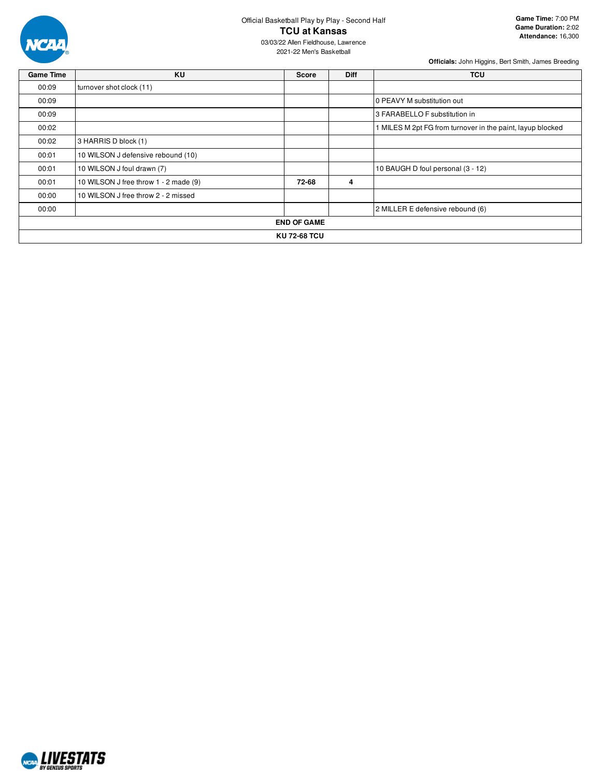

Official Basketball Play by Play - Second Half **TCU at Kansas**

03/03/22 Allen Fieldhouse, Lawrence 2021-22 Men's Basketball

| <b>Game Time</b> | <b>KU</b>                             | <b>Score</b>       | <b>Diff</b> | <b>TCU</b>                                                 |  |  |  |
|------------------|---------------------------------------|--------------------|-------------|------------------------------------------------------------|--|--|--|
| 00:09            | turnover shot clock (11)              |                    |             |                                                            |  |  |  |
| 00:09            |                                       |                    |             | 10 PEAVY M substitution out                                |  |  |  |
| 00:09            |                                       |                    |             | 3 FARABELLO F substitution in                              |  |  |  |
| 00:02            |                                       |                    |             | 1 MILES M 2pt FG from turnover in the paint, layup blocked |  |  |  |
| 00:02            | 3 HARRIS D block (1)                  |                    |             |                                                            |  |  |  |
| 00:01            | 10 WILSON J defensive rebound (10)    |                    |             |                                                            |  |  |  |
| 00:01            | 10 WILSON J foul drawn (7)            |                    |             | 10 BAUGH D foul personal (3 - 12)                          |  |  |  |
| 00:01            | 10 WILSON J free throw 1 - 2 made (9) | 72-68              | 4           |                                                            |  |  |  |
| 00:00            | 10 WILSON J free throw 2 - 2 missed   |                    |             |                                                            |  |  |  |
| 00:00            |                                       |                    |             | 2 MILLER E defensive rebound (6)                           |  |  |  |
|                  |                                       | <b>END OF GAME</b> |             |                                                            |  |  |  |
|                  | <b>KU 72-68 TCU</b>                   |                    |             |                                                            |  |  |  |

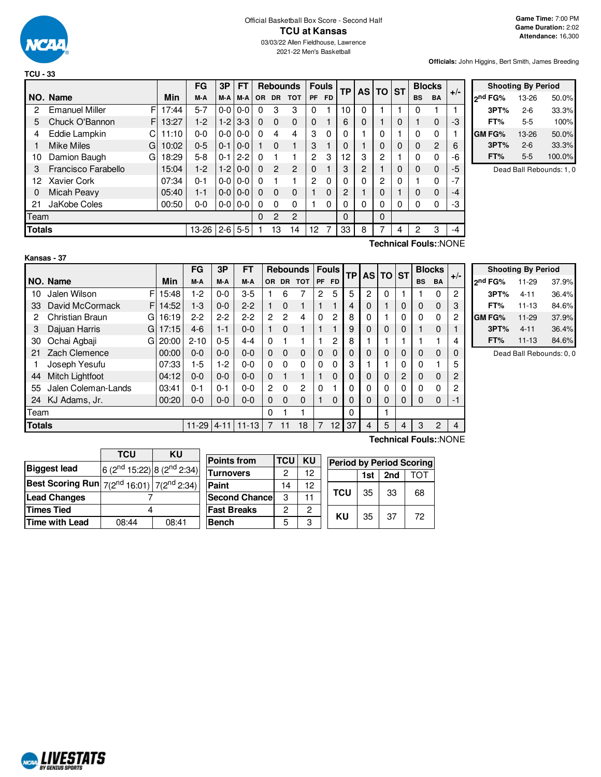

2021-22 Men's Basketball

**Officials:** John Higgins, Bert Smith, James Breeding

|               |                            |       | FG      | 3P      | <b>FT</b> |           |                | <b>Rebounds</b> | <b>Fouls</b> |           | ТP |   | AS TO ST |              |           | <b>Blocks</b>  | $+/-$ |
|---------------|----------------------------|-------|---------|---------|-----------|-----------|----------------|-----------------|--------------|-----------|----|---|----------|--------------|-----------|----------------|-------|
|               | NO. Name                   | Min   | M-A     | M-A     | M-A       | <b>OR</b> | <b>DR</b>      | <b>TOT</b>      | <b>PF</b>    | <b>FD</b> |    |   |          |              | <b>BS</b> | <b>BA</b>      |       |
| 2             | <b>Emanuel Miller</b><br>F | 17:44 | $5 - 7$ | $0-0$   | $0 - 0$   | $\Omega$  | 3              | 3               | $\Omega$     |           | 10 | 0 |          |              | 0         |                |       |
| 5             | Chuck O'Bannon<br>F.       | 13:27 | $1-2$   | $1-2$   | $3 - 3$   | $\Omega$  | $\Omega$       | 0               | $\Omega$     |           | 6  | 0 |          | $\Omega$     |           | $\Omega$       | -3    |
| 4             | Eddie Lampkin<br>C         | 11:10 | $0 - 0$ | $0-0$   | $0-0$     | $\Omega$  | 4              | 4               | 3            | $\Omega$  | 0  |   | 0        |              | 0         | 0              |       |
|               | <b>Mike Miles</b><br>G     | 10:02 | $0 - 5$ | 0-1     | $0 - 0$   |           | $\Omega$       | 1               | 3            |           | 0  |   | $\Omega$ | $\Omega$     | $\Omega$  | $\overline{2}$ | 6     |
| 10            | Damion Baugh<br>G          | 18:29 | $5-8$   | $0 - 1$ | $2 - 2$   | $\Omega$  |                |                 | 2            | 3         | 12 | 3 | 2        |              | $\Omega$  | $\Omega$       | -6    |
| 3             | Francisco Farabello        | 15:04 | $1-2$   | $1-2$   | $0 - 0$   | $\Omega$  | $\overline{2}$ | $\overline{c}$  | 0            |           | 3  | 2 | ٠        | 0            | $\Omega$  | $\Omega$       | -5    |
| 12            | <b>Xavier Cork</b>         | 07:34 | $0 - 1$ | $0-0$   | $0-0$     | $\Omega$  |                | 1               | 2            | $\Omega$  | 0  | 0 | 2        | $\mathbf{0}$ |           | $\Omega$       | $-7$  |
| 0             | Micah Peavy                | 05:40 | $1 - 1$ | $0-0$   | $0 - 0$   | $\Omega$  | $\Omega$       | 0               |              | $\Omega$  | 2  |   | 0        |              | 0         | $\Omega$       | -4    |
| 21            | JaKobe Coles               | 00:50 | $0 - 0$ | $0-0$   | $0-0$     | $\Omega$  | $\Omega$       | 0               |              | 0         | 0  | 0 | 0        | 0            | 0         | 0              | -3    |
| Team          |                            |       |         |         |           | $\Omega$  | $\overline{2}$ | $\overline{c}$  |              |           | 0  |   | $\Omega$ |              |           |                |       |
| <b>Totals</b> |                            |       | 13-26   | $2 - 6$ | $5-5$     |           | 13             | 14              | 12           |           | 33 | 8 |          | 4            | 2         | 3              | $-4$  |

|         | <b>Shooting By Period</b> |        |  |  |  |  |  |  |  |
|---------|---------------------------|--------|--|--|--|--|--|--|--|
| ond FG% | 13-26                     | 50.0%  |  |  |  |  |  |  |  |
| 3PT%    | $2 - 6$                   | 33.3%  |  |  |  |  |  |  |  |
| FT%     | 5-5                       | 100%   |  |  |  |  |  |  |  |
| GM FG%  | 13-26                     | 50.0%  |  |  |  |  |  |  |  |
| 3PT%    | $2 - 6$                   | 33.3%  |  |  |  |  |  |  |  |
| FT%     | 5-5                       | 100.0% |  |  |  |  |  |  |  |

Dead Ball Rebounds: 1, 0

| Kansas - 37 |  |
|-------------|--|

**Technical Fouls:**:NONE

|               |                             |       | FG        | 3P       | <b>FT</b> |              |                | <b>Rebounds</b> |           | <b>Fouls</b>   | <b>TP</b> |          | AS TO ST    |          | <b>Blocks</b> |           | $+/-$ |
|---------------|-----------------------------|-------|-----------|----------|-----------|--------------|----------------|-----------------|-----------|----------------|-----------|----------|-------------|----------|---------------|-----------|-------|
|               | NO. Name                    | Min   | M-A       | M-A      | M-A       | OR.          | <b>DR</b>      | <b>TOT</b>      | <b>PF</b> | <b>FD</b>      |           |          |             |          | <b>BS</b>     | <b>BA</b> |       |
| 10            | F<br>Jalen Wilson           | 15:48 | 1-2       | $0 - 0$  | $3 - 5$   |              | 6              |                 | 2         | 5              | 5         | 2        | 0           |          |               | 0         | 2     |
| 33            | David McCormack<br>F        | 14:52 | $1 - 3$   | $0 - 0$  | $2 - 2$   |              | $\Omega$       |                 |           |                | 4         | 0        |             | 0        | 0             | 0         | 3     |
| 2             | <b>Christian Braun</b><br>G | 16:19 | $2-2$     | $2 - 2$  | $2-2$     | 2            | $\overline{2}$ | 4               | 0         | $\overline{c}$ | 8         | 0        |             | 0        | 0             | 0         | 2     |
| 3             | Dajuan Harris<br>G          | 17:15 | $4-6$     | $1 - 1$  | $0 - 0$   |              | $\Omega$       |                 |           |                | 9         | 0        | $\mathbf 0$ | 0        |               | 0         |       |
| 30            | Ochai Agbaji<br>GI          | 20:00 | $2 - 10$  | $0 - 5$  | $4 - 4$   | 0            |                |                 |           | 2              | 8         |          |             |          |               |           | 4     |
| 21            | Zach Clemence               | 00:00 | $0 - 0$   | $0 - 0$  | $0 - 0$   | 0            | $\Omega$       | $\Omega$        | $\Omega$  | $\Omega$       | $\Omega$  | 0        | $\Omega$    | 0        | 0             | 0         | 0     |
|               | Joseph Yesufu               | 07:33 | $1-5$     | $1-2$    | $0 - 0$   | 0            | $\Omega$       | 0               | $\Omega$  | $\Omega$       | 3         |          |             | 0        | 0             |           | 5     |
| 44            | Mitch Lightfoot             | 04:12 | $0 - 0$   | $0 - 0$  | $0 - 0$   | $\Omega$     |                |                 |           | $\Omega$       | $\Omega$  | 0        | 0           | 2        | 0             | 0         | 2     |
| 55            | Jalen Coleman-Lands         | 03:41 | $0 - 1$   | $0 - 1$  | $0 - 0$   | $\mathbf{2}$ | 0              | 2               | 0         |                | 0         | 0        | 0           | 0        | 0             | 0         | 2     |
| 24            | KJ Adams, Jr.               | 00:20 | $0 - 0$   | $0 - 0$  | $0 - 0$   | $\Omega$     | $\Omega$       | $\Omega$        | 1         | $\Omega$       | 0         | $\Omega$ | $\Omega$    | $\Omega$ | 0             | 0         | $-1$  |
| Team          |                             |       |           |          |           | 0            |                |                 |           |                | 0         |          |             |          |               |           |       |
| <b>Totals</b> |                             |       | $11 - 29$ | $4 - 11$ | $11 - 13$ |              | 11             | 18              | 7         | 12             | 37        | 4        | 5           | 4        | 3             | 2         | 4     |
|               |                             |       |           |          |           |              |                |                 |           |                |           |          |             |          |               |           |       |

|                     | <b>Shooting By Period</b> |       |  |  |  |  |  |
|---------------------|---------------------------|-------|--|--|--|--|--|
| 2 <sup>nd</sup> FG% | 11-29                     | 37.9% |  |  |  |  |  |
| 3PT%                | $4 - 11$                  | 36.4% |  |  |  |  |  |
| FT%                 | $11 - 13$                 | 84.6% |  |  |  |  |  |
| <b>GMFG%</b>        | 11-29                     | 37.9% |  |  |  |  |  |
| 3PT%                | $4 - 11$                  | 36.4% |  |  |  |  |  |
| FT%                 | $11 - 13$                 | 84.6% |  |  |  |  |  |

Dead Ball Rebounds: 0, 0

|                                                            | <b>TCU</b>                                         | KU    |                    |
|------------------------------------------------------------|----------------------------------------------------|-------|--------------------|
|                                                            |                                                    |       | <b>Points from</b> |
| <b>Biggest lead</b>                                        | 6 (2 <sup>nd</sup> 15:22) 8 (2 <sup>nd</sup> 2:34) |       | <b>Turnovers</b>   |
| <b>Best Scoring Run</b> $7(2^{nd} 16:01)$ $7(2^{nd} 2:34)$ |                                                    |       | Paint              |
| <b>Lead Changes</b>                                        |                                                    |       | <b>Second Chan</b> |
| <b>Times Tied</b>                                          |                                                    |       | <b>Fast Breaks</b> |
| <b>Time with Lead</b>                                      | 08:44                                              | 08:41 | <b>Bench</b>       |
|                                                            |                                                    |       |                    |

| <b>Points from</b>    | TCU | KU | <b>Period by Period Scoring</b> |     |     |     |
|-----------------------|-----|----|---------------------------------|-----|-----|-----|
| <b>Turnovers</b>      | 2   | 12 |                                 | 1st | 2nd | TOT |
| Paint                 | 14  | 12 |                                 |     |     |     |
| <b>Second Chancel</b> | 3   | 11 | <b>TCU</b>                      | 35  | 33  | 68  |
| <b>Fast Breaks</b>    | 2   | 2  |                                 |     |     |     |
| <b>Bench</b>          | 5   | 3  | KU                              | 35  | 37  | 72  |

**Technical Fouls:**:NONE

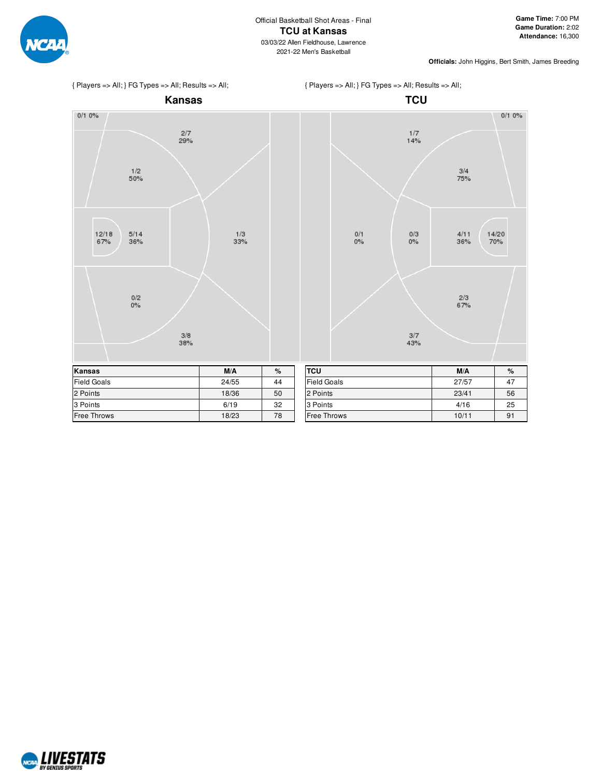



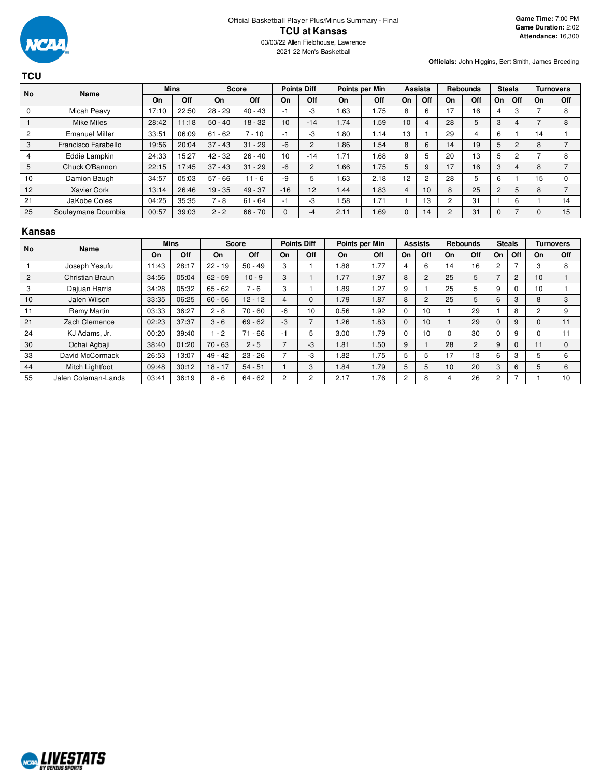

| TCU            |                       |             |       |              |           |                    |                |                |      |                |                |                 |     |                |     |                  |                |
|----------------|-----------------------|-------------|-------|--------------|-----------|--------------------|----------------|----------------|------|----------------|----------------|-----------------|-----|----------------|-----|------------------|----------------|
| <b>No</b>      | Name                  | <b>Mins</b> |       | <b>Score</b> |           | <b>Points Diff</b> |                | Points per Min |      | <b>Assists</b> |                | <b>Rebounds</b> |     | <b>Steals</b>  |     | <b>Turnovers</b> |                |
|                |                       | On          | Off   | <b>On</b>    | Off       | <b>On</b>          | Off            | On             | Off  | On             | Off            | On              | Off | On             | Off | <b>On</b>        | Off            |
| 0              | Micah Peavy           | 17:10       | 22:50 | $28 - 29$    | $40 - 43$ | -1                 | $-3$           | <b>63</b>      | 1.75 | 8              | 6              | 17              | 16  | 4              | 3   | ⇁                | 8              |
|                | <b>Mike Miles</b>     | 28:42       | 11:18 | $50 - 40$    | $18 - 32$ | 10                 | $-14$          | 1.74           | 1.59 | 10             | 4              | 28              | 5   | 3              | 4   | ⇁                | 8              |
| $\overline{c}$ | <b>Emanuel Miller</b> | 33:51       | 06:09 | $61 - 62$    | $7 - 10$  | -1                 | $-3$           | .80            | 1.14 | 13             |                | 29              | 4   | 6              |     | 14               |                |
| 3              | Francisco Farabello   | 19:56       | 20:04 | $37 - 43$    | $31 - 29$ | $-6$               | $\overline{2}$ | 86.1           | 1.54 | 8              | 6              | 14              | 19  | 5              | 2   | 8                |                |
| 4              | Eddie Lampkin         | 24:33       | 15:27 | $42 - 32$    | $26 - 40$ | 10                 | $-14$          | 1.71           | 1.68 | 9              | 5              | 20              | 13  | 5              | 2   |                  | 8              |
| 5              | Chuck O'Bannon        | 22:15       | 17:45 | $37 - 43$    | $31 - 29$ | -6                 |                | 1.66           | 1.75 | 5              | 9              | 17              | 16  | 3              | 4   | 8                | ⇁              |
| 10             | Damion Baugh          | 34:57       | 05:03 | $57 - 66$    | $11 - 6$  | $-9$               |                | <b>63</b>      | 2.18 | 12             | $\overline{2}$ | 28              | 5   | 6              |     | 15               | $\Omega$       |
| 12             | <b>Xavier Cork</b>    | 13:14       | 26:46 | $19 - 35$    | $49 - 37$ | $-16$              | 12             | 1.44           | 1.83 | 4              | 10             | 8               | 25  | $\overline{c}$ | 5   | 8                | $\overline{ }$ |
| 21             | JaKobe Coles          | 04:25       | 35:35 | $7 - 8$      | $61 - 64$ | -1                 | -3             | 1.58           | 1.71 |                | 13             | 2               | 31  |                | 6   |                  | 14             |
| 25             | Souleymane Doumbia    | 00:57       | 39:03 | $2 - 2$      | $66 - 70$ | $\mathbf{0}$       | -4             | 2.11           | 1.69 | $\Omega$       | 14             | $\overline{2}$  | 31  | 0              |     | 0                | 15             |

#### **Kansas**

| <b>No</b>      | <b>Name</b>            |       | <b>Mins</b> |           | <b>Score</b> |                | <b>Points Diff</b> |      | Points per Min |          | <b>Assists</b> |    | <b>Rebounds</b> |    | <b>Steals</b> |          | <b>Turnovers</b> |
|----------------|------------------------|-------|-------------|-----------|--------------|----------------|--------------------|------|----------------|----------|----------------|----|-----------------|----|---------------|----------|------------------|
|                |                        | On    | Off         | On        | Off          | On             | Off                | On   | Off            | On       | Off            | On | Off             | On | Off           | On       | Off              |
|                | Joseph Yesufu          | 11:43 | 28:17       | $22 - 19$ | $50 - 49$    | 3              |                    | .88  | 1.77           | 4        | 6              | 14 | 16              | 2  |               | 3        | 8                |
| $\overline{2}$ | Christian Braun        | 34:56 | 05:04       | $62 - 59$ | $10 - 9$     | 3              |                    | 1.77 | 1.97           | 8        | $\overline{2}$ | 25 | 5               |    | 2             | 10       |                  |
| 3              | Dajuan Harris          | 34:28 | 05:32       | $65 - 62$ | $-6$         | 3              |                    | .89  | 1.27           | 9        |                | 25 | 5               | 9  | $\Omega$      | 10       |                  |
| 10             | Jalen Wilson           | 33:35 | 06:25       | $60 - 56$ | $12 - 12$    | 4              | $\Omega$           | 1.79 | 1.87           | 8        | $\overline{2}$ | 25 | 5               | 6  | 3             | 8        | 3                |
| 11             | Remy Martin            | 03:33 | 36:27       | $2 - 8$   | $70 - 60$    | -6             | 10                 | 0.56 | 1.92           | $\Omega$ | 10             |    | 29              |    | 8             | 2        | 9                |
| 21             | Zach Clemence          | 02:23 | 37:37       | $3 - 6$   | $69 - 62$    | $-3$           |                    | .26  | 1.83           | $\Omega$ | 10             |    | 29              |    | 9             | $\Omega$ | 11               |
| 24             | KJ Adams, Jr.          | 00:20 | 39:40       | $-2$      | $71 - 66$    |                | 5                  | 3.00 | 1.79           | $\Omega$ | 10             | 0  | 30              |    | 9             |          |                  |
| 30             | Ochai Agbaji           | 38:40 | 01:20       | $70 - 63$ | $2 - 5$      | $\overline{ }$ | -3                 | 1.81 | 1.50           | 9        |                | 28 | $\overline{2}$  | 9  | 0             | 11       | $\Omega$         |
| 33             | David McCormack        | 26:53 | 13:07       | $49 - 42$ | $23 - 26$    |                | -3                 | .82  | 1.75           | 5        | 5              | 17 | 13              | 6  | 3             | 5        | 6                |
| 44             | <b>Mitch Lightfoot</b> | 09:48 | 30:12       | $18 - 17$ | $54 - 51$    |                | 3                  | .84  | 1.79           | 5        | 5              | 10 | 20              | 3  | 6             | 5        | 6                |
| 55             | Jalen Coleman-Lands    | 03:41 | 36:19       | $8 - 6$   | $64 - 62$    | 2              | 2                  | 2.17 | 1.76           | 2        | 8              | 4  | 26              | 2  |               |          | 10               |

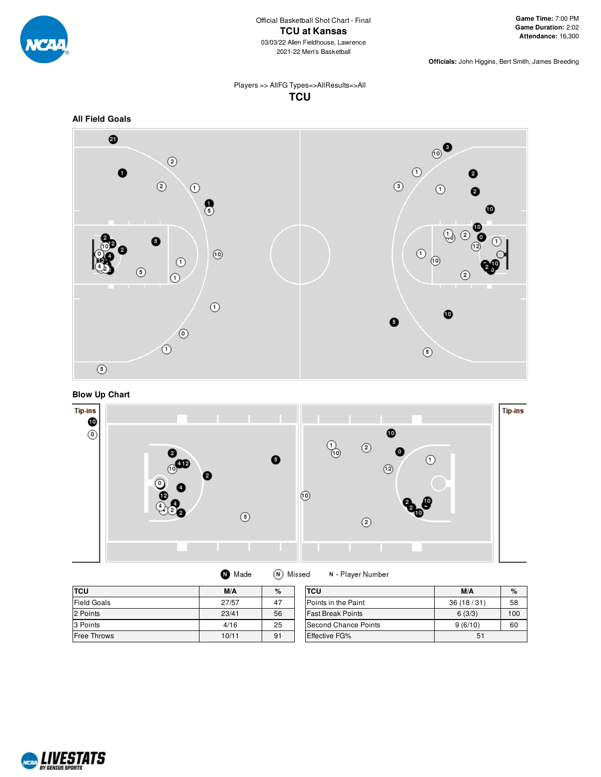

### Players => AllFG Types=>AllResults=>All **TCU**



**Blow Up Chart**



| <b>TCU</b>  | M/A   | $\%$ | <b>TCU</b>               | M/A       | %   |
|-------------|-------|------|--------------------------|-----------|-----|
| Field Goals | 27/57 | 47   | Points in the Paint      | 36(18/31) | 58  |
| 2 Points    | 23/41 | 56   | <b>Fast Break Points</b> | 6(3/3)    | 100 |
| 3 Points    | 4/16  | 25   | Second Chance Points     | 9(6/10)   | 60  |
| Free Throws | 10/11 | 91   | Effective FG%            | 51        |     |

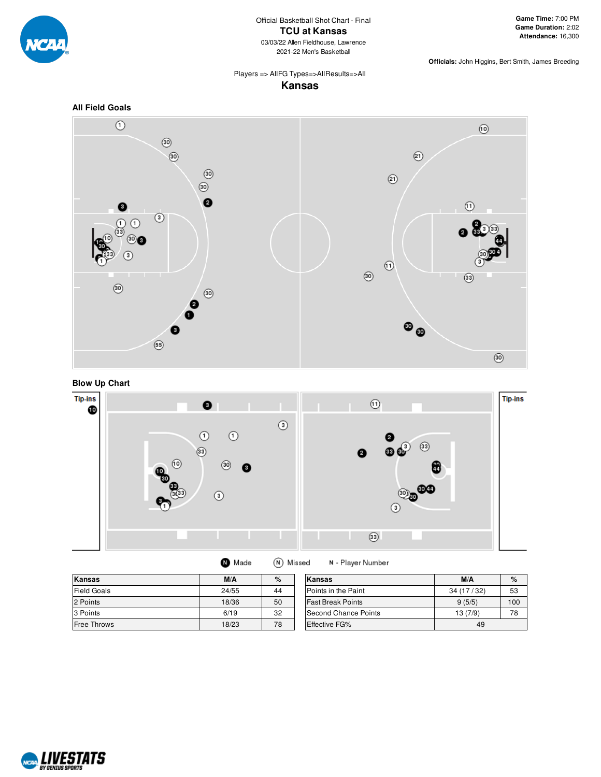

# Players => AllFG Types=>AllResults=>All

**Kansas**







| Made | (N) Missed | N - Player Number |
|------|------------|-------------------|
|------|------------|-------------------|

| <b>Kansas</b>      | M/A   | %  | Kansas                   | M/A       | $\%$ |
|--------------------|-------|----|--------------------------|-----------|------|
| <b>Field Goals</b> | 24/55 | 44 | Points in the Paint      | 34(17/32) | 53   |
| 2 Points           | 18/36 | 50 | <b>Fast Break Points</b> | 9(5/5)    | 100  |
| 3 Points           | 6/19  | 32 | Second Chance Points     | 13 (7/9)  | 78   |
| Free Throws        | 18/23 | 78 | <b>Effective FG%</b>     | 49        |      |

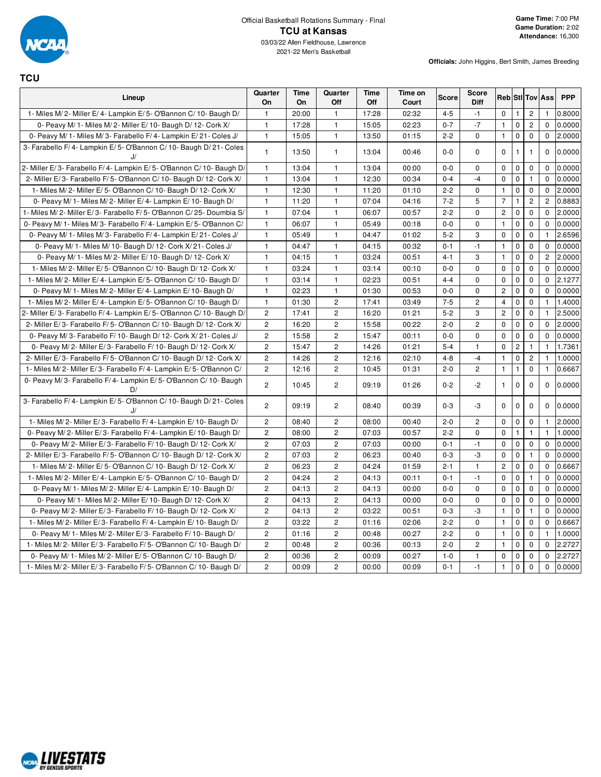

**TCU**

| Lineup                                                                | Quarter<br>On  | <b>Time</b><br>On | Quarter<br>Off        | <b>Time</b><br>Off | Time on<br>Court | <b>Score</b> | <b>Score</b><br>Diff |                |                |                | <b>Reb</b> Sti Tov Ass | <b>PPP</b> |
|-----------------------------------------------------------------------|----------------|-------------------|-----------------------|--------------------|------------------|--------------|----------------------|----------------|----------------|----------------|------------------------|------------|
| 1- Miles M/2- Miller E/4- Lampkin E/5- O'Bannon C/10- Baugh D/        | $\overline{1}$ | 20:00             | 1                     | 17:28              | 02:32            | $4 - 5$      | $-1$                 | $\mathbf 0$    | $\mathbf{1}$   | $\overline{c}$ | -1                     | 0.8000     |
| 0- Peavy M/ 1- Miles M/ 2- Miller E/ 10- Baugh D/ 12- Cork X/         | $\mathbf{1}$   | 17:28             | 1                     | 15:05              | 02:23            | $0 - 7$      | $-7$                 | $\mathbf{1}$   | $\mathbf 0$    | $\overline{c}$ | $\Omega$               | 0.0000     |
| 0- Peavy M/ 1- Miles M/ 3- Farabello F/ 4- Lampkin E/ 21- Coles J/    | $\overline{1}$ | 15:05             | $\mathbf{1}$          | 13:50              | 01:15            | $2 - 2$      | $\Omega$             | $\mathbf{1}$   | $\mathbf 0$    | $\mathbf{0}$   | $\Omega$               | 2.0000     |
| 3- Farabello F/4- Lampkin E/5- O'Bannon C/10- Baugh D/21- Coles       | $\mathbf{1}$   | 13:50             | 1                     | 13:04              | 00:46            | $0 - 0$      | $\mathbf 0$          | $\mathbf 0$    | $\mathbf{1}$   | $\overline{1}$ | $\mathbf{0}$           | 0.0000     |
| 2- Miller E/3- Farabello F/4- Lampkin E/5- O'Bannon C/10- Baugh D     | $\mathbf{1}$   | 13:04             | $\mathbf{1}$          | 13:04              | 00:00            | $0 - 0$      | $\mathbf 0$          | $\mathbf 0$    | 0              | $\mathbf 0$    | $\mathbf 0$            | 0.0000     |
| 2- Miller E/3- Farabello F/5- O'Bannon C/10- Baugh D/12- Cork X/      | $\overline{1}$ | 13:04             | 1                     | 12:30              | 00:34            | $0 - 4$      | $-4$                 | $\mathbf 0$    | $\mathbf 0$    | $\mathbf{1}$   | $\mathbf 0$            | 0.0000     |
| 1- Miles M/2- Miller E/5- O'Bannon C/10- Baugh D/12- Cork X/          | $\mathbf{1}$   | 12:30             | 1                     | 11:20              | 01:10            | $2 - 2$      | $\Omega$             | $\mathbf{1}$   | $\mathbf 0$    | $\mathbf 0$    | $\Omega$               | 2.0000     |
| 0- Peavy M/ 1- Miles M/ 2- Miller E/ 4- Lampkin E/ 10- Baugh D/       | $\overline{1}$ | 11:20             | $\mathbf{1}$          | 07:04              | 04:16            | $7 - 2$      | 5                    | $\overline{7}$ | $\mathbf{1}$   | $\overline{2}$ | $\overline{c}$         | 0.8883     |
| 1- Miles M/2- Miller E/3- Farabello F/5- O'Bannon C/25- Doumbia S/    | $\overline{1}$ | 07:04             | $\mathbf{1}$          | 06:07              | 00:57            | $2 - 2$      | $\Omega$             | $\overline{c}$ | $\pmb{0}$      | $\Omega$       | $\Omega$               | 2.0000     |
| 0- Peavy M/ 1- Miles M/ 3- Farabello F/ 4- Lampkin E/ 5- O'Bannon C/  | $\overline{1}$ | 06:07             | $\mathbf{1}$          | 05:49              | 00:18            | $0 - 0$      | $\mathbf 0$          | $\mathbf{1}$   | 0              | $\mathbf 0$    | $\mathbf{0}$           | 0.0000     |
| 0- Peavy M/ 1- Miles M/ 3- Farabello F/ 4- Lampkin E/ 21- Coles J/    | $\overline{1}$ | 05:49             | $\mathbf{1}$          | 04:47              | 01:02            | $5 - 2$      | 3                    | $\mathbf 0$    | $\mathbf 0$    | $\mathbf 0$    | $\mathbf{1}$           | 2.6596     |
| 0- Peavy M/ 1- Miles M/ 10- Baugh D/ 12- Cork X/ 21- Coles J/         | $\overline{1}$ | 04:47             | 1                     | 04:15              | 00:32            | $0 - 1$      | $-1$                 | $\mathbf{1}$   | $\pmb{0}$      | $\mathbf 0$    | $\mathbf 0$            | 0.0000     |
| 0- Peavy M/ 1- Miles M/ 2- Miller E/ 10- Baugh D/ 12- Cork X/         | $\overline{1}$ | 04:15             | 1                     | 03:24              | 00:51            | $4 - 1$      | 3                    | $\mathbf{1}$   | $\pmb{0}$      | $\mathbf 0$    | $\overline{2}$         | 2.0000     |
| 1- Miles M/2- Miller E/5- O'Bannon C/10- Baugh D/12- Cork X/          | $\overline{1}$ | 03:24             | 1                     | 03:14              | 00:10            | $0 - 0$      | $\mathbf 0$          | $\mathbf 0$    | $\mathbf 0$    | $\mathbf 0$    | $\mathbf{0}$           | 0.0000     |
| 1- Miles M/2- Miller E/4- Lampkin E/5- O'Bannon C/10- Baugh D/        | $\mathbf{1}$   | 03:14             | $\mathbf{1}$          | 02:23              | 00:51            | $4 - 4$      | $\Omega$             | $\mathbf 0$    | $\mathbf 0$    | $\mathbf 0$    | $\Omega$               | 2.1277     |
| 0- Peavy M/ 1- Miles M/ 2- Miller E/ 4- Lampkin E/ 10- Baugh D/       | $\overline{1}$ | 02:23             | 1                     | 01:30              | 00:53            | $0-0$        | $\Omega$             | $\overline{c}$ | $\mathbf 0$    | $\mathbf 0$    | $\Omega$               | 0.0000     |
| 1- Miles M/2- Miller E/4- Lampkin E/5- O'Bannon C/10- Baugh D/        | $\overline{1}$ | 01:30             | $\overline{2}$        | 17:41              | 03:49            | $7 - 5$      | $\overline{2}$       | $\overline{4}$ | $\mathbf 0$    | $\Omega$       | $\mathbf{1}$           | 1.4000     |
| 2- Miller E/3- Farabello F/4- Lampkin E/5- O'Bannon C/10- Baugh D/    | $\overline{c}$ | 17:41             | $\overline{c}$        | 16:20              | 01:21            | $5 - 2$      | 3                    | $\overline{c}$ | 0              | $\mathbf 0$    | $\mathbf{1}$           | 2.5000     |
| 2- Miller E/3- Farabello F/5- O'Bannon C/10- Baugh D/12- Cork X/      | $\overline{c}$ | 16:20             | $\overline{c}$        | 15:58              | 00:22            | $2 - 0$      | $\overline{c}$       | $\mathbf 0$    | $\pmb{0}$      | $\mathbf 0$    | $\mathbf 0$            | 2.0000     |
| 0- Peavy M/3- Farabello F/10- Baugh D/12- Cork X/21- Coles J/         | $\overline{c}$ | 15:58             | $\overline{c}$        | 15:47              | 00:11            | $0-0$        | $\mathbf 0$          | $\mathbf 0$    | $\pmb{0}$      | $\mathbf 0$    | $\mathbf 0$            | 0.0000     |
| 0- Peavy M/2- Miller E/3- Farabello F/10- Baugh D/12- Cork X/         | $\overline{2}$ | 15:47             | $\overline{c}$        | 14:26              | 01:21            | $5 - 4$      | $\mathbf{1}$         | $\mathbf 0$    | $\overline{c}$ | $\mathbf{1}$   | $\mathbf{1}$           | 1.7361     |
| 2- Miller E/3- Farabello F/5- O'Bannon C/10- Baugh D/12- Cork X/      | $\overline{c}$ | 14:26             | $\overline{c}$        | 12:16              | 02:10            | $4 - 8$      | $-4$                 | $\mathbf{1}$   | $\mathbf 0$    | $\overline{c}$ | $\mathbf{1}$           | 1.0000     |
| 1- Miles M/2- Miller E/3- Farabello F/4- Lampkin E/5- O'Bannon C/     | $\overline{2}$ | 12:16             | $\overline{c}$        | 10:45              | 01:31            | $2 - 0$      | $\overline{c}$       | $\mathbf{1}$   | $\mathbf{1}$   | $\mathbf 0$    | $\mathbf{1}$           | 0.6667     |
| 0- Peavy M/3- Farabello F/4- Lampkin E/5- O'Bannon C/10- Baugh<br>D/  | $\overline{2}$ | 10:45             | $\mathbf{2}^{\prime}$ | 09:19              | 01:26            | $0 - 2$      | $-2$                 | $\mathbf{1}$   | 0              | $\mathbf 0$    | $\mathbf 0$            | 0.0000     |
| 3- Farabello F/4- Lampkin E/5- O'Bannon C/10- Baugh D/21- Coles<br>J/ | $\overline{2}$ | 09:19             | $\overline{c}$        | 08:40              | 00:39            | $0 - 3$      | -3                   | $\mathbf 0$    | $\mathbf 0$    | $\Omega$       | $\mathbf 0$            | 0.0000     |
| 1- Miles M/2- Miller E/3- Farabello F/4- Lampkin E/10- Baugh D/       | $\overline{2}$ | 08:40             | $\overline{c}$        | 08:00              | 00:40            | $2 - 0$      | $\overline{2}$       | $\mathbf 0$    | 0              | $\mathbf 0$    | 1                      | 2.0000     |
| 0- Peavy M/2- Miller E/3- Farabello F/4- Lampkin E/10- Baugh D/       | $\overline{c}$ | 08:00             | $\overline{c}$        | 07:03              | 00:57            | $2 - 2$      | $\Omega$             | $\mathbf 0$    | $\mathbf{1}$   | $\mathbf{1}$   | 1.                     | 1.0000     |
| 0- Peavy M/2- Miller E/3- Farabello F/10- Baugh D/12- Cork X/         | $\overline{c}$ | 07:03             | $\overline{c}$        | 07:03              | 00:00            | $0 - 1$      | $-1$                 | $\mathbf 0$    | 0              | $\mathbf 0$    | $\mathbf 0$            | 0.0000     |
| 2- Miller E/3- Farabello F/5- O'Bannon C/10- Baugh D/12- Cork X/      | $\overline{c}$ | 07:03             | $\overline{c}$        | 06:23              | 00:40            | $0 - 3$      | $-3$                 | $\mathbf 0$    | $\mathbf 0$    | $\mathbf{1}$   | $\Omega$               | 0.0000     |
| 1- Miles M/2- Miller E/5- O'Bannon C/10- Baugh D/12- Cork X/          | $\overline{c}$ | 06:23             | $\overline{c}$        | 04:24              | 01:59            | $2 - 1$      | $\mathbf{1}$         | $\overline{c}$ | $\mathbf 0$    | $\mathbf 0$    | $\mathbf 0$            | 0.6667     |
| 1- Miles M/2- Miller E/4- Lampkin E/5- O'Bannon C/10- Baugh D/        | $\overline{2}$ | 04:24             | $\overline{c}$        | 04:13              | 00:11            | $0 - 1$      | $-1$                 | $\mathbf 0$    | $\mathbf 0$    | $\mathbf{1}$   | $\Omega$               | 0.0000     |
| 0- Peavy M/ 1- Miles M/ 2- Miller E/ 4- Lampkin E/ 10- Baugh D/       | $\overline{c}$ | 04:13             | $\overline{c}$        | 04:13              | 00:00            | $0 - 0$      | $\Omega$             | $\Omega$       | $\pmb{0}$      | $\mathbf 0$    | $\Omega$               | 0.0000     |
| 0- Peavy M/ 1- Miles M/ 2- Miller E/ 10- Baugh D/ 12- Cork X/         | $\overline{c}$ | 04:13             | $\overline{c}$        | 04:13              | 00:00            | $0-0$        | $\Omega$             | $\mathbf 0$    | $\pmb{0}$      | $\mathbf 0$    | $\Omega$               | 0.0000     |
| 0- Peavy M/2- Miller E/3- Farabello F/10- Baugh D/12- Cork X/         | $\overline{c}$ | 04:13             | $\overline{c}$        | 03:22              | 00:51            | $0 - 3$      | -3                   | $\mathbf{1}$   | $\pmb{0}$      | $\mathbf{1}$   | $\mathbf{0}$           | 0.0000     |
| 1- Miles M/2- Miller E/3- Farabello F/4- Lampkin E/10- Baugh D/       | $\overline{c}$ | 03:22             | $\overline{c}$        | 01:16              | 02:06            | $2 - 2$      | $\Omega$             | $\mathbf{1}$   | $\pmb{0}$      | $\mathbf 0$    | $\mathbf 0$            | 0.6667     |
| 0- Peavy M/ 1- Miles M/ 2- Miller E/ 3- Farabello F/ 10- Baugh D/     | $\overline{c}$ | 01:16             | $\overline{c}$        | 00:48              | 00:27            | $2 - 2$      | $\mathbf 0$          | $\mathbf{1}$   | 0              | $\mathbf 0$    | $\mathbf{1}$           | 1.0000     |
| 1- Miles M/2- Miller E/3- Farabello F/5- O'Bannon C/10- Baugh D/      | $\overline{c}$ | 00:48             | $\overline{c}$        | 00:36              | 00:13            | $2 - 0$      | $\overline{2}$       | $\mathbf{1}$   | $\mathbf 0$    | $\mathbf 0$    | $\mathbf 0$            | 2.2727     |
| 0- Peavy M/ 1- Miles M/ 2- Miller E/ 5- O'Bannon C/ 10- Baugh D/      | $\overline{c}$ | 00:36             | $\overline{c}$        | 00:09              | 00:27            | $1 - 0$      | $\mathbf{1}$         | $\mathbf 0$    | $\mathbf 0$    | $\mathbf 0$    | $\mathbf 0$            | 2.2727     |
| 1- Miles M/2- Miller E/3- Farabello F/5- O'Bannon C/10- Baugh D/      | $\overline{c}$ | 00:09             | $\overline{c}$        | 00:00              | 00:09            | $0 - 1$      | $-1$                 | $\mathbf{1}$   | $\mathbf 0$    | $\mathbf 0$    | $\Omega$               | 0.0000     |

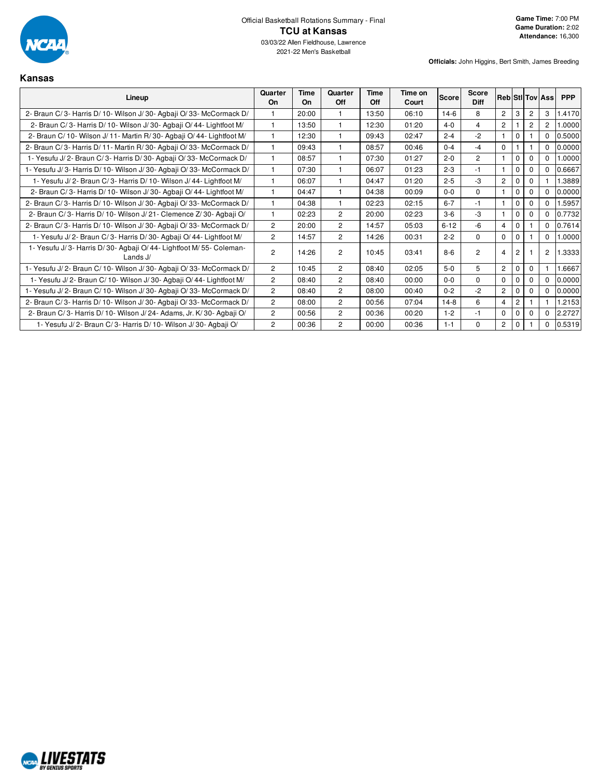

### **Kansas**

| Lineup                                                                          | Quarter<br>On  | Time<br>On | Quarter<br>Off | Time<br>Off | Time on<br>Court | Score    | <b>Score</b><br><b>Diff</b> |                |                |                | <b>Reb Stillov Assi</b> | <b>PPP</b> |
|---------------------------------------------------------------------------------|----------------|------------|----------------|-------------|------------------|----------|-----------------------------|----------------|----------------|----------------|-------------------------|------------|
| 2- Braun C/3- Harris D/10- Wilson J/30- Agbaji O/33- McCormack D/               |                | 20:00      |                | 13:50       | 06:10            | $14-6$   | 8                           | $\overline{2}$ | 3              | 2              | 3                       | 1.4170     |
| 2- Braun C/3- Harris D/10- Wilson J/30- Agbaji O/44- Lightfoot M/               | $\overline{1}$ | 13:50      | $\mathbf{1}$   | 12:30       | 01:20            | $4 - 0$  | 4                           | $\overline{2}$ |                | $\overline{2}$ | $\overline{c}$          | .0000      |
| 2- Braun C/10- Wilson J/11- Martin R/30- Agbaji O/44- Lightfoot M/              |                | 12:30      |                | 09:43       | 02:47            | $2 - 4$  | $-2$                        |                | $\Omega$       |                | $\Omega$                | 0.5000     |
| 2- Braun C/3- Harris D/11- Martin R/30- Agbaji O/33- McCormack D/               | $\mathbf{1}$   | 09:43      | $\mathbf{1}$   | 08:57       | 00:46            | $0 - 4$  | $-4$                        | $\mathbf 0$    |                |                | $\Omega$                | 0.0000     |
| 1- Yesufu J/2- Braun C/3- Harris D/30- Agbaji O/33- McCormack D/                | $\mathbf{1}$   | 08:57      | 1              | 07:30       | 01:27            | $2 - 0$  | $\overline{2}$              |                | $\mathbf{0}$   | 0              | $\Omega$                | .0000      |
| 1- Yesufu J/3- Harris D/10- Wilson J/30- Agbaji O/33- McCormack D/              | $\mathbf{1}$   | 07:30      | $\mathbf{1}$   | 06:07       | 01:23            | $2 - 3$  | $-1$                        |                | $\mathbf 0$    | 0              | $\Omega$                | 0.6667     |
| 1- Yesufu J/2- Braun C/3- Harris D/10- Wilson J/44- Lightfoot M/                |                | 06:07      |                | 04:47       | 01:20            | $2 - 5$  | $-3$                        | $\mathbf{2}$   | $\mathbf{0}$   | 0              |                         | 1.3889     |
| 2- Braun C/3- Harris D/10- Wilson J/30- Agbaji O/44- Lightfoot M/               |                | 04:47      |                | 04:38       | 00:09            | $0 - 0$  | $\Omega$                    |                | $\mathbf 0$    | 0              | $\Omega$                | 0.0000     |
| 2- Braun C/3- Harris D/10- Wilson J/30- Agbaji O/33- McCormack D/               |                | 04:38      |                | 02:23       | 02:15            | $6 - 7$  | $-1$                        | $\mathbf{1}$   | $\Omega$       | $\Omega$       | $\Omega$                | .5957      |
| 2- Braun C/3- Harris D/10- Wilson J/21- Clemence Z/30- Agbaji O/                | $\mathbf{1}$   | 02:23      | $\overline{2}$ | 20:00       | 02:23            | $3-6$    | $-3$                        |                | $\Omega$       | $\Omega$       | $\Omega$                | 0.7732     |
| 2- Braun C/3- Harris D/10- Wilson J/30- Agbaji O/33- McCormack D/               | $\overline{2}$ | 20:00      | $\overline{2}$ | 14:57       | 05:03            | $6 - 12$ | $-6$                        | $\overline{4}$ | $\mathbf{0}$   |                | $\Omega$                | 0.7614     |
| 1- Yesufu J/2- Braun C/3- Harris D/30- Agbaji O/44- Lightfoot M/                | $\overline{2}$ | 14:57      | $\overline{2}$ | 14:26       | 00:31            | $2 - 2$  | $\Omega$                    | $\mathbf 0$    | $\mathbf 0$    |                | $\Omega$                | 0000.1     |
| 1- Yesufu J/3- Harris D/30- Agbaji O/44- Lightfoot M/55- Coleman-<br>Lands $J/$ | $\overline{2}$ | 14:26      | $\overline{2}$ | 10:45       | 03:41            | $8-6$    | 2                           | $\overline{4}$ | $\overline{c}$ |                | $\overline{c}$          | 1.3333     |
| 1- Yesufu J/2- Braun C/10- Wilson J/30- Agbaji O/33- McCormack D/               | $\overline{2}$ | 10:45      | $\overline{2}$ | 08:40       | 02:05            | $5-0$    | 5                           | $\mathbf{2}$   | $\mathbf 0$    | 0              |                         | .6667      |
| 1- Yesufu J/2- Braun C/10- Wilson J/30- Agbaji O/44- Lightfoot M/               | $\overline{2}$ | 08:40      | $\overline{2}$ | 08:40       | 00:00            | $0 - 0$  | $\Omega$                    | $\Omega$       | $\Omega$       |                | $\Omega$                | 0.0000     |
| 1- Yesufu J/2- Braun C/10- Wilson J/30- Agbaji O/33- McCormack D/               | $\overline{2}$ | 08:40      | 2              | 08:00       | 00:40            | $0 - 2$  | $-2$                        | $\mathbf{2}$   | $\Omega$       | 0              | $\Omega$                | 0.0000     |
| 2- Braun C/3- Harris D/10- Wilson J/30- Agbaji O/33- McCormack D/               | $\overline{2}$ | 08:00      | 2              | 00:56       | 07:04            | $14-8$   | 6                           | $\overline{4}$ | $\overline{c}$ |                |                         | 1.2153     |
| 2- Braun C/3- Harris D/10- Wilson J/24- Adams, Jr. K/30- Agbaji O/              | $\overline{2}$ | 00:56      | $\overline{c}$ | 00:36       | 00:20            | $1 - 2$  | $-1$                        | $\mathbf 0$    | $\mathbf 0$    | 0              | $\mathbf 0$             | 2.2727     |
| 1- Yesufu J/2- Braun C/3- Harris D/10- Wilson J/30- Agbaji O/                   | $\overline{2}$ | 00:36      | 2              | 00:00       | 00:36            | $1 - 1$  | 0                           | 2              | $\mathbf{0}$   |                | 0                       | 0.5319     |

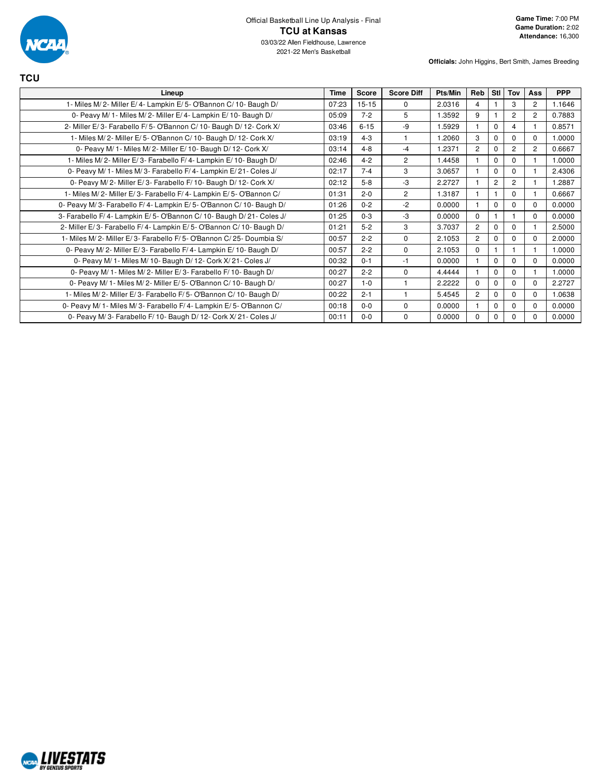

**TCU**

| Lineup                                                             | Time  | <b>Score</b> | <b>Score Diff</b> | Pts/Min | Reb            | Stl            | Tov            | Ass            | <b>PPP</b> |
|--------------------------------------------------------------------|-------|--------------|-------------------|---------|----------------|----------------|----------------|----------------|------------|
| 1- Miles M/2- Miller E/4- Lampkin E/5- O'Bannon C/10- Baugh D/     | 07:23 | $15 - 15$    | $\mathbf 0$       | 2.0316  | 4              |                | 3              | 2              | 1.1646     |
| 0- Peavy M/ 1- Miles M/ 2- Miller E/ 4- Lampkin E/ 10- Baugh D/    | 05:09 | $7 - 2$      | 5                 | 1.3592  | 9              | 1              | $\overline{2}$ | $\overline{2}$ | 0.7883     |
| 2- Miller E/3- Farabello F/5- O'Bannon C/10- Baugh D/12- Cork X/   | 03:46 | $6 - 15$     | -9                | 1.5929  |                | $\Omega$       | 4              |                | 0.8571     |
| 1- Miles M/2- Miller E/5- O'Bannon C/10- Baugh D/12- Cork X/       | 03:19 | $4 - 3$      |                   | 1.2060  | 3              | $\Omega$       | $\Omega$       | $\Omega$       | 1.0000     |
| 0- Peavy M/ 1- Miles M/ 2- Miller E/ 10- Baugh D/ 12- Cork X/      | 03:14 | $4 - 8$      | $-4$              | 1.2371  | $\overline{2}$ | $\Omega$       | $\overline{2}$ | 2              | 0.6667     |
| 1- Miles M/2- Miller E/3- Farabello F/4- Lampkin E/10- Baugh D/    | 02:46 | $4 - 2$      | $\overline{2}$    | 1.4458  |                | $\mathbf 0$    | 0              |                | 1.0000     |
| 0- Peavy M/ 1- Miles M/ 3- Farabello F/ 4- Lampkin E/ 21- Coles J/ | 02:17 | $7 - 4$      | 3                 | 3.0657  |                | $\Omega$       | $\Omega$       |                | 2.4306     |
| 0- Peavy M/2- Miller E/3- Farabello F/10- Baugh D/12- Cork X/      | 02:12 | $5 - 8$      | -3                | 2.2727  |                | $\overline{c}$ | $\overline{c}$ |                | 1.2887     |
| 1- Miles M/2- Miller E/3- Farabello F/4- Lampkin E/5- O'Bannon C/  | 01:31 | $2 - 0$      | $\overline{c}$    | 1.3187  |                | 1              | $\Omega$       |                | 0.6667     |
| 0- Peavy M/3- Farabello F/4- Lampkin E/5- O'Bannon C/10- Baugh D/  | 01:26 | $0 - 2$      | $-2$              | 0.0000  |                | $\Omega$       | $\Omega$       | $\Omega$       | 0.0000     |
| 3- Farabello F/4- Lampkin E/5- O'Bannon C/10- Baugh D/21- Coles J/ | 01:25 | $0 - 3$      | -3                | 0.0000  | $\Omega$       | 1              |                | $\Omega$       | 0.0000     |
| 2- Miller E/3- Farabello F/4- Lampkin E/5- O'Bannon C/10- Baugh D/ | 01:21 | $5-2$        | 3                 | 3.7037  | $\overline{2}$ | $\Omega$       | $\Omega$       |                | 2.5000     |
| 1- Miles M/2- Miller E/3- Farabello F/5- O'Bannon C/25- Doumbia S/ | 00:57 | $2 - 2$      | $\Omega$          | 2.1053  | $\overline{2}$ | $\Omega$       | $\Omega$       | $\Omega$       | 2.0000     |
| 0- Peavy M/2- Miller E/3- Farabello F/4- Lampkin E/10- Baugh D/    | 00:57 | $2 - 2$      | $\mathbf 0$       | 2.1053  | $\Omega$       | 1              |                |                | 1.0000     |
| 0- Peavy M/ 1- Miles M/ 10- Baugh D/ 12- Cork X/ 21- Coles J/      | 00:32 | $0 - 1$      | $-1$              | 0.0000  |                | $\Omega$       | $\Omega$       | $\Omega$       | 0.0000     |
| 0- Peavy M/ 1- Miles M/ 2- Miller E/ 3- Farabello F/ 10- Baugh D/  | 00:27 | $2 - 2$      | $\Omega$          | 4.4444  |                | $\Omega$       | $\Omega$       |                | 1.0000     |
| 0- Peavy M/ 1- Miles M/ 2- Miller E/ 5- O'Bannon C/ 10- Baugh D/   | 00:27 | $1 - 0$      |                   | 2.2222  | $\Omega$       | $\Omega$       | $\Omega$       | $\Omega$       | 2.2727     |
| 1- Miles M/2- Miller E/3- Farabello F/5- O'Bannon C/10- Baugh D/   | 00:22 | $2 - 1$      |                   | 5.4545  | $\overline{2}$ | $\Omega$       | $\Omega$       | $\mathbf 0$    | 1.0638     |
| 0- Peavy M/1- Miles M/3- Farabello F/4- Lampkin E/5- O'Bannon C/   | 00:18 | $0 - 0$      | $\mathbf 0$       | 0.0000  |                | $\Omega$       | $\Omega$       | $\Omega$       | 0.0000     |
| 0- Peavy M/3- Farabello F/10- Baugh D/12- Cork X/21- Coles J/      | 00:11 | $0 - 0$      | $\mathbf 0$       | 0.0000  | $\Omega$       | $\Omega$       | $\Omega$       | $\Omega$       | 0.0000     |